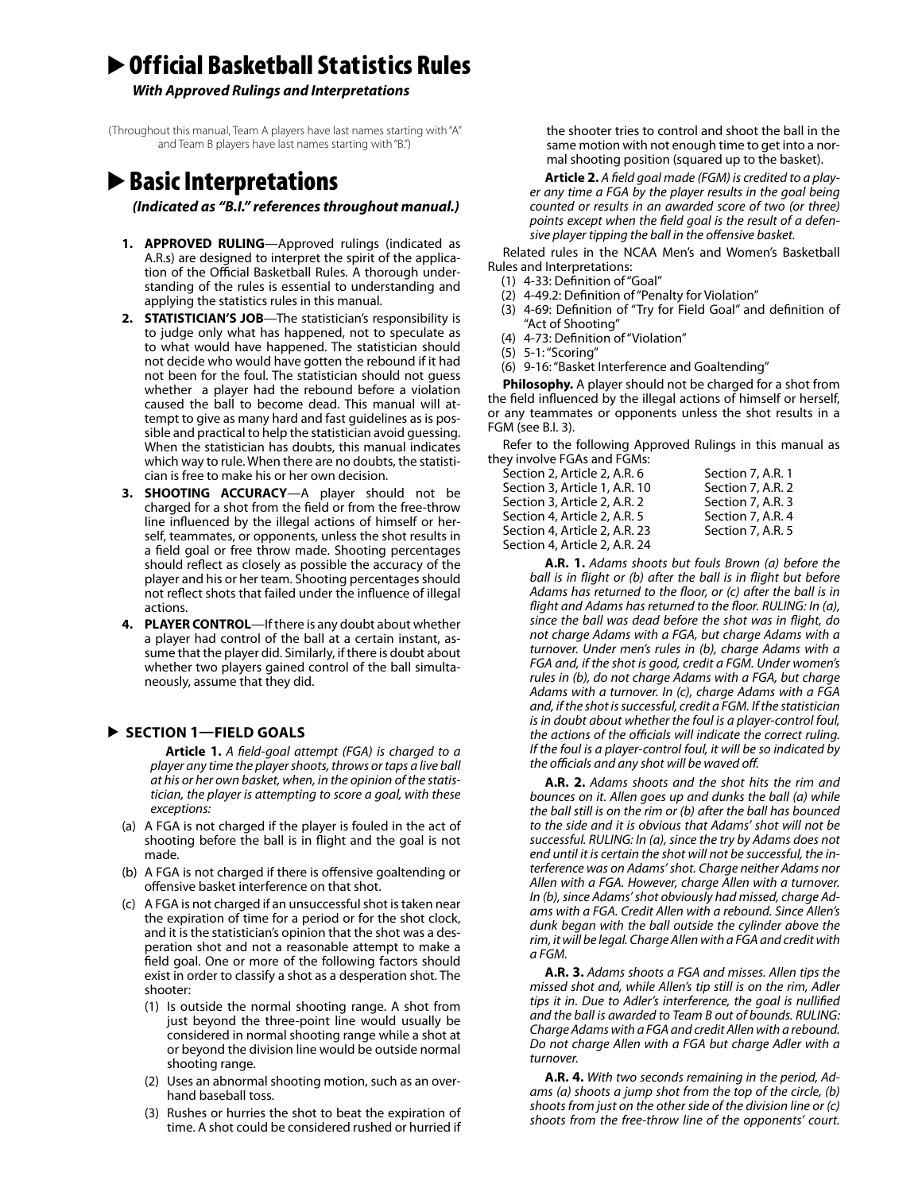# ▶ Official Basketball Statistics Rules

*With Approved Rulings and Interpretations*

(Throughout this manual, Team A players have last names starting with "A" and Team B players have last names starting with "B.")

# ▶ Basic Interpretations

*(Indicated as "B.I." references throughout manual.)*

- **1. APPROVED RULING**—Approved rulings (indicated as A.R.s) are designed to interpret the spirit of the application of the Official Basketball Rules. A thorough understanding of the rules is essential to understanding and applying the statistics rules in this manual.
- **2. STATISTICIAN'S JOB**—The statistician's responsibility is to judge only what has happened, not to speculate as to what would have happened. The statistician should not decide who would have gotten the rebound if it had not been for the foul. The statistician should not guess whether a player had the rebound before a violation caused the ball to become dead. This manual will attempt to give as many hard and fast guidelines as is possible and practical to help the statistician avoid guessing. When the statistician has doubts, this manual indicates which way to rule. When there are no doubts, the statistician is free to make his or her own decision.
- **3. SHOOTING ACCURACY**—A player should not be charged for a shot from the field or from the free-throw line influenced by the illegal actions of himself or herself, teammates, or opponents, unless the shot results in a field goal or free throw made. Shooting percentages should reflect as closely as possible the accuracy of the player and his or her team. Shooting percentages should not reflect shots that failed under the influence of illegal actions.
- **4. PLAYER CONTROL**—If there is any doubt about whether a player had control of the ball at a certain instant, assume that the player did. Similarly, if there is doubt about whether two players gained control of the ball simultaneously, assume that they did.

# **SECTION 1—FIELD GOALS**

**Article 1.** *A field-goal attempt (FGA) is charged to a player any time the player shoots, throws or taps a live ball at his or her own basket, when, in the opinion of the statistician, the player is attempting to score a goal, with these exceptions:*

- (a) A FGA is not charged if the player is fouled in the act of shooting before the ball is in flight and the goal is not made.
- (b) A FGA is not charged if there is offensive goaltending or offensive basket interference on that shot.
- (c) A FGA is not charged if an unsuccessful shot is taken near the expiration of time for a period or for the shot clock, and it is the statistician's opinion that the shot was a desperation shot and not a reasonable attempt to make a field goal. One or more of the following factors should exist in order to classify a shot as a desperation shot. The shooter:
	- (1) Is outside the normal shooting range. A shot from just beyond the three-point line would usually be considered in normal shooting range while a shot at or beyond the division line would be outside normal shooting range.
	- (2) Uses an abnormal shooting motion, such as an overhand baseball toss.
	- (3) Rushes or hurries the shot to beat the expiration of time. A shot could be considered rushed or hurried if

the shooter tries to control and shoot the ball in the same motion with not enough time to get into a normal shooting position (squared up to the basket).

**Article 2.** *A field goal made (FGM) is credited to a player any time a FGA by the player results in the goal being counted or results in an awarded score of two (or three) points except when the field goal is the result of a defensive player tipping the ball in the offensive basket.*

Related rules in the NCAA Men's and Women's Basketball Rules and Interpretations:

- (1) 4-33: Definition of "Goal"
- (2) 4-49.2: Definition of "Penalty for Violation"
- (3) 4-69: Definition of "Try for Field Goal" and definition of "Act of Shooting"
- (4) 4-73: Definition of "Violation"
- (5) 5-1: "Scoring"
- (6) 9-16: "Basket Interference and Goaltending"

**Philosophy.** A player should not be charged for a shot from the field influenced by the illegal actions of himself or herself, or any teammates or opponents unless the shot results in a FGM (see B.I. 3).

Refer to the following Approved Rulings in this manual as they involve FGAs and FGMs:

| cy involve i dris and i divis. |                   |
|--------------------------------|-------------------|
| Section 2, Article 2, A.R. 6   | Section 7, A.R. 1 |
| Section 3, Article 1, A.R. 10  | Section 7, A.R. 2 |
| Section 3, Article 2, A.R. 2   | Section 7, A.R. 3 |
| Section 4, Article 2, A.R. 5   | Section 7, A.R. 4 |
| Section 4, Article 2, A.R. 23  | Section 7, A.R. 5 |
| Section 4, Article 2, A.R. 24  |                   |
|                                |                   |

**A.R. 1.** *Adams shoots but fouls Brown (a) before the ball is in flight or (b) after the ball is in flight but before Adams has returned to the floor, or (c) after the ball is in flight and Adams has returned to the floor. RULING: In (a), since the ball was dead before the shot was in flight, do not charge Adams with a FGA, but charge Adams with a turnover. Under men's rules in (b), charge Adams with a FGA and, if the shot is good, credit a FGM. Under women's rules in (b), do not charge Adams with a FGA, but charge Adams with a turnover. In (c), charge Adams with a FGA and, if the shot is successful, credit a FGM. If the statistician is in doubt about whether the foul is a player-control foul, the actions of the officials will indicate the correct ruling. If the foul is a player-control foul, it will be so indicated by the officials and any shot will be waved off.*

**A.R. 2.** *Adams shoots and the shot hits the rim and bounces on it. Allen goes up and dunks the ball (a) while the ball still is on the rim or (b) after the ball has bounced to the side and it is obvious that Adams' shot will not be successful. RULING: In (a), since the try by Adams does not end until it is certain the shot will not be successful, the interference was on Adams' shot. Charge neither Adams nor Allen with a FGA. However, charge Allen with a turnover. In (b), since Adams' shot obviously had missed, charge Adams with a FGA. Credit Allen with a rebound. Since Allen's dunk began with the ball outside the cylinder above the rim, it will be legal. Charge Allen with a FGA and credit with a FGM.*

**A.R. 3.** *Adams shoots a FGA and misses. Allen tips the missed shot and, while Allen's tip still is on the rim, Adler tips it in. Due to Adler's interference, the goal is nullified and the ball is awarded to Team B out of bounds. RULING: Charge Adams with a FGA and credit Allen with a rebound. Do not charge Allen with a FGA but charge Adler with a turnover.*

**A.R. 4.** *With two seconds remaining in the period, Adams (a) shoots a jump shot from the top of the circle, (b) shoots from just on the other side of the division line or (c) shoots from the free-throw line of the opponents' court.*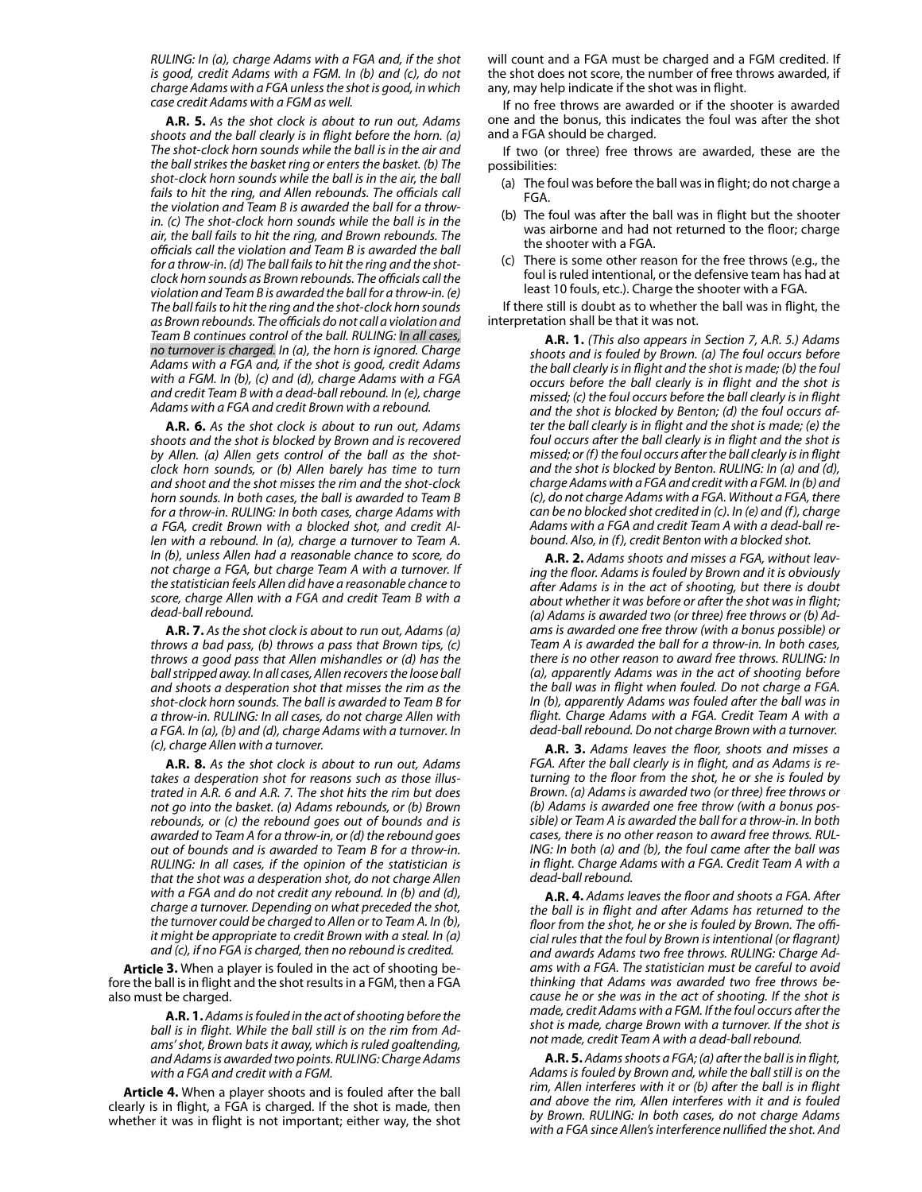*RULING: In (a), charge Adams with a FGA and, if the shot is good, credit Adams with a FGM. In (b) and (c), do not charge Adams with a FGA unless the shot is good, in which case credit Adams with a FGM as well.*

**A.R. 5.** *As the shot clock is about to run out, Adams shoots and the ball clearly is in flight before the horn. (a) The shot-clock horn sounds while the ball is in the air and the ball strikes the basket ring or enters the basket. (b) The shot-clock horn sounds while the ball is in the air, the ball fails to hit the ring, and Allen rebounds. The officials call the violation and Team B is awarded the ball for a throwin. (c) The shot-clock horn sounds while the ball is in the air, the ball fails to hit the ring, and Brown rebounds. The officials call the violation and Team B is awarded the ball for a throw-in. (d) The ball fails to hit the ring and the shotclock horn sounds as Brown rebounds. The officials call the violation and Team B is awarded the ball for a throw-in. (e) The ball fails to hit the ring and the shot-clock horn sounds as Brown rebounds. The officials do not call a violation and Team B continues control of the ball. RULING: In all cases, no turnover is charged. In (a), the horn is ignored. Charge Adams with a FGA and, if the shot is good, credit Adams with a FGM. In (b), (c) and (d), charge Adams with a FGA and credit Team B with a dead-ball rebound. In (e), charge Adams with a FGA and credit Brown with a rebound.*

**A.R. 6.** *As the shot clock is about to run out, Adams shoots and the shot is blocked by Brown and is recovered by Allen. (a) Allen gets control of the ball as the shotclock horn sounds, or (b) Allen barely has time to turn and shoot and the shot misses the rim and the shot-clock horn sounds. In both cases, the ball is awarded to Team B for a throw-in. RULING: In both cases, charge Adams with a FGA, credit Brown with a blocked shot, and credit Allen with a rebound. In (a), charge a turnover to Team A. In (b), unless Allen had a reasonable chance to score, do not charge a FGA, but charge Team A with a turnover. If the statistician feels Allen did have a reasonable chance to score, charge Allen with a FGA and credit Team B with a dead-ball rebound.*

**A.R. 7.** *As the shot clock is about to run out, Adams (a) throws a bad pass, (b) throws a pass that Brown tips, (c) throws a good pass that Allen mishandles or (d) has the ball stripped away. In all cases, Allen recovers the loose ball and shoots a desperation shot that misses the rim as the shot-clock horn sounds. The ball is awarded to Team B for a throw-in. RULING: In all cases, do not charge Allen with a FGA. In (a), (b) and (d), charge Adams with a turnover. In (c), charge Allen with a turnover.*

**A.R. 8.** *As the shot clock is about to run out, Adams takes a desperation shot for reasons such as those illustrated in A.R. 6 and A.R. 7. The shot hits the rim but does not go into the basket. (a) Adams rebounds, or (b) Brown rebounds, or (c) the rebound goes out of bounds and is awarded to Team A for a throw-in, or (d) the rebound goes out of bounds and is awarded to Team B for a throw-in. RULING: In all cases, if the opinion of the statistician is that the shot was a desperation shot, do not charge Allen with a FGA and do not credit any rebound. In (b) and (d), charge a turnover. Depending on what preceded the shot, the turnover could be charged to Allen or to Team A. In (b), it might be appropriate to credit Brown with a steal. In (a) and (c), if no FGA is charged, then no rebound is credited.*

**Article 3.** When a player is fouled in the act of shooting before the ball is in flight and the shot results in a FGM, then a FGA also must be charged.

> **A.R. 1.** *Adams is fouled in the act of shooting before the ball is in flight. While the ball still is on the rim from Adams' shot, Brown bats it away, which is ruled goaltending, and Adams is awarded two points. RULING: Charge Adams with a FGA and credit with a FGM.*

**Article 4.** When a player shoots and is fouled after the ball clearly is in flight, a FGA is charged. If the shot is made, then whether it was in flight is not important; either way, the shot will count and a FGA must be charged and a FGM credited. If the shot does not score, the number of free throws awarded, if any, may help indicate if the shot was in flight.

If no free throws are awarded or if the shooter is awarded one and the bonus, this indicates the foul was after the shot and a FGA should be charged.

If two (or three) free throws are awarded, these are the possibilities:

- (a) The foul was before the ball was in flight; do not charge a FGA.
- (b) The foul was after the ball was in flight but the shooter was airborne and had not returned to the floor; charge the shooter with a FGA.
- (c) There is some other reason for the free throws (e.g., the foul is ruled intentional, or the defensive team has had at least 10 fouls, etc.). Charge the shooter with a FGA.

If there still is doubt as to whether the ball was in flight, the interpretation shall be that it was not.

> **A.R. 1.** *(This also appears in Section 7, A.R. 5.) Adams shoots and is fouled by Brown. (a) The foul occurs before the ball clearly is in flight and the shot is made; (b) the foul occurs before the ball clearly is in flight and the shot is missed; (c) the foul occurs before the ball clearly is in flight and the shot is blocked by Benton; (d) the foul occurs after the ball clearly is in flight and the shot is made; (e) the foul occurs after the ball clearly is in flight and the shot is missed; or (f) the foul occurs after the ball clearly is in flight and the shot is blocked by Benton. RULING: In (a) and (d), charge Adams with a FGA and credit with a FGM. In (b) and (c), do not charge Adams with a FGA. Without a FGA, there can be no blocked shot credited in (c). In (e) and (f), charge Adams with a FGA and credit Team A with a dead-ball rebound. Also, in (f), credit Benton with a blocked shot.*

> **A.R. 2.** *Adams shoots and misses a FGA, without leaving the floor. Adams is fouled by Brown and it is obviously after Adams is in the act of shooting, but there is doubt about whether it was before or after the shot was in flight; (a) Adams is awarded two (or three) free throws or (b) Adams is awarded one free throw (with a bonus possible) or Team A is awarded the ball for a throw-in. In both cases, there is no other reason to award free throws. RULING: In (a), apparently Adams was in the act of shooting before the ball was in flight when fouled. Do not charge a FGA. In (b), apparently Adams was fouled after the ball was in flight. Charge Adams with a FGA. Credit Team A with a dead-ball rebound. Do not charge Brown with a turnover.*

> **A.R. 3.** *Adams leaves the floor, shoots and misses a FGA. After the ball clearly is in flight, and as Adams is returning to the floor from the shot, he or she is fouled by Brown. (a) Adams is awarded two (or three) free throws or (b) Adams is awarded one free throw (with a bonus possible) or Team A is awarded the ball for a throw-in. In both cases, there is no other reason to award free throws. RUL-ING: In both (a) and (b), the foul came after the ball was in flight. Charge Adams with a FGA. Credit Team A with a dead-ball rebound.*

> **A.R. 4.** *Adams leaves the floor and shoots a FGA. After the ball is in flight and after Adams has returned to the floor from the shot, he or she is fouled by Brown. The official rules that the foul by Brown is intentional (or flagrant) and awards Adams two free throws. RULING: Charge Adams with a FGA. The statistician must be careful to avoid thinking that Adams was awarded two free throws because he or she was in the act of shooting. If the shot is made, credit Adams with a FGM. If the foul occurs after the shot is made, charge Brown with a turnover. If the shot is not made, credit Team A with a dead-ball rebound.*

> **A.R. 5.** *Adams shoots a FGA; (a) after the ball is in flight, Adams is fouled by Brown and, while the ball still is on the rim, Allen interferes with it or (b) after the ball is in flight and above the rim, Allen interferes with it and is fouled by Brown. RULING: In both cases, do not charge Adams with a FGA since Allen's interference nullified the shot. And*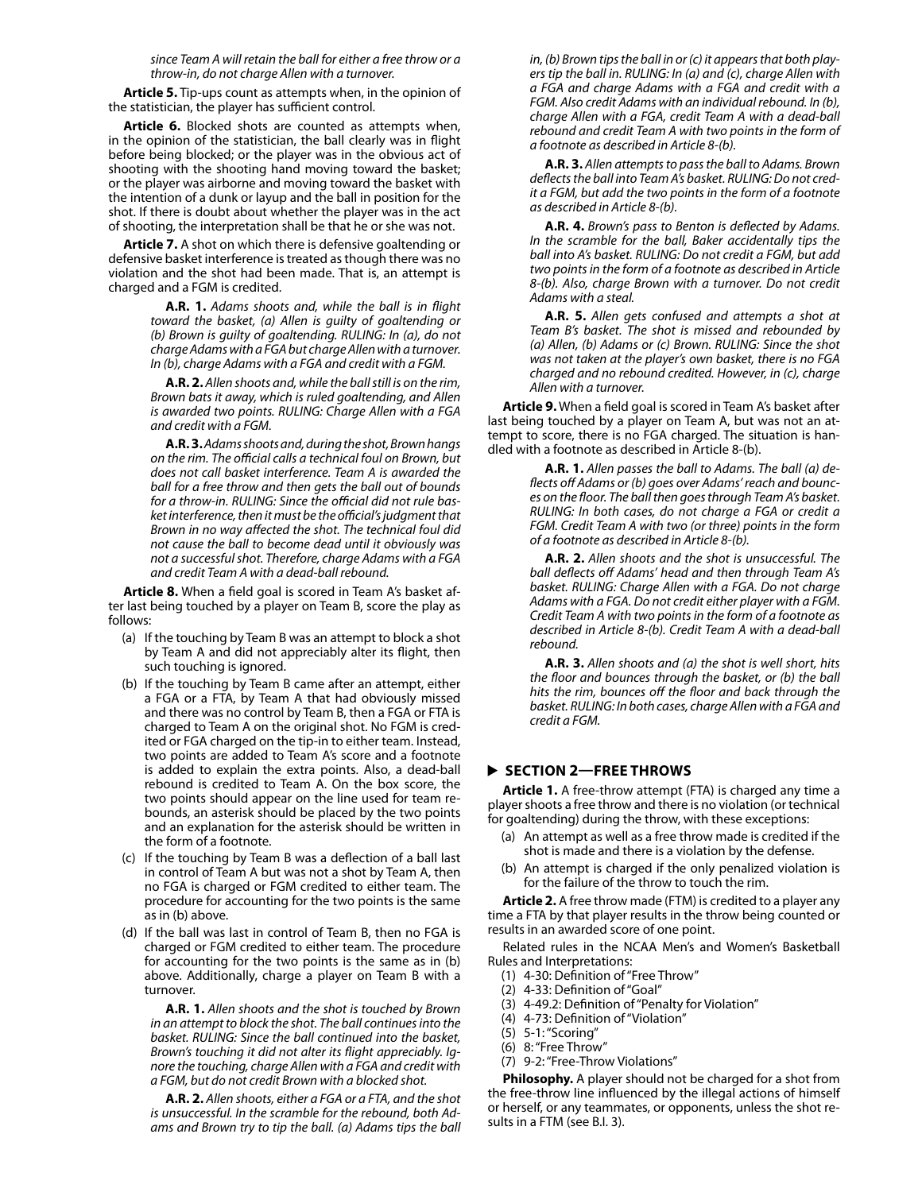*since Team A will retain the ball for either a free throw or a throw-in, do not charge Allen with a turnover.*

**Article 5.** Tip-ups count as attempts when, in the opinion of the statistician, the player has sufficient control.

**Article 6.** Blocked shots are counted as attempts when, in the opinion of the statistician, the ball clearly was in flight before being blocked; or the player was in the obvious act of shooting with the shooting hand moving toward the basket; or the player was airborne and moving toward the basket with the intention of a dunk or layup and the ball in position for the shot. If there is doubt about whether the player was in the act of shooting, the interpretation shall be that he or she was not.

**Article 7.** A shot on which there is defensive goaltending or defensive basket interference is treated as though there was no violation and the shot had been made. That is, an attempt is charged and a FGM is credited.

> **A.R. 1.** *Adams shoots and, while the ball is in flight toward the basket, (a) Allen is guilty of goaltending or (b) Brown is guilty of goaltending. RULING: In (a), do not charge Adams with a FGA but charge Allen with a turnover. In (b), charge Adams with a FGA and credit with a FGM.*

> **A.R. 2.** *Allen shoots and, while the ball still is on the rim, Brown bats it away, which is ruled goaltending, and Allen is awarded two points. RULING: Charge Allen with a FGA and credit with a FGM.*

> **A.R. 3.** *Adams shoots and, during the shot, Brown hangs on the rim. The official calls a technical foul on Brown, but does not call basket interference. Team A is awarded the ball for a free throw and then gets the ball out of bounds for a throw-in. RULING: Since the official did not rule basket interference, then it must be the official's judgment that Brown in no way affected the shot. The technical foul did not cause the ball to become dead until it obviously was not a successful shot. Therefore, charge Adams with a FGA and credit Team A with a dead-ball rebound.*

**Article 8.** When a field goal is scored in Team A's basket after last being touched by a player on Team B, score the play as follows:

- (a) If the touching by Team B was an attempt to block a shot by Team A and did not appreciably alter its flight, then such touching is ignored.
- (b) If the touching by Team B came after an attempt, either a FGA or a FTA, by Team A that had obviously missed and there was no control by Team B, then a FGA or FTA is charged to Team A on the original shot. No FGM is credited or FGA charged on the tip-in to either team. Instead, two points are added to Team A's score and a footnote is added to explain the extra points. Also, a dead-ball rebound is credited to Team A. On the box score, the two points should appear on the line used for team rebounds, an asterisk should be placed by the two points and an explanation for the asterisk should be written in the form of a footnote.
- (c) If the touching by Team B was a deflection of a ball last in control of Team A but was not a shot by Team A, then no FGA is charged or FGM credited to either team. The procedure for accounting for the two points is the same as in (b) above.
- (d) If the ball was last in control of Team B, then no FGA is charged or FGM credited to either team. The procedure for accounting for the two points is the same as in (b) above. Additionally, charge a player on Team B with a turnover.

**A.R. 1.** *Allen shoots and the shot is touched by Brown in an attempt to block the shot. The ball continues into the basket. RULING: Since the ball continued into the basket, Brown's touching it did not alter its flight appreciably. Ignore the touching, charge Allen with a FGA and credit with a FGM, but do not credit Brown with a blocked shot.*

**A.R. 2.** *Allen shoots, either a FGA or a FTA, and the shot is unsuccessful. In the scramble for the rebound, both Adams and Brown try to tip the ball. (a) Adams tips the ball*  *in, (b) Brown tips the ball in or (c) it appears that both players tip the ball in. RULING: In (a) and (c), charge Allen with a FGA and charge Adams with a FGA and credit with a FGM. Also credit Adams with an individual rebound. In (b), charge Allen with a FGA, credit Team A with a dead-ball rebound and credit Team A with two points in the form of a footnote as described in Article 8-(b).*

**A.R. 3.** *Allen attempts to pass the ball to Adams. Brown deflects the ball into Team A's basket. RULING: Do not credit a FGM, but add the two points in the form of a footnote as described in Article 8-(b).*

**A.R. 4.** *Brown's pass to Benton is deflected by Adams. In the scramble for the ball, Baker accidentally tips the ball into A's basket. RULING: Do not credit a FGM, but add two points in the form of a footnote as described in Article 8-(b). Also, charge Brown with a turnover. Do not credit Adams with a steal.*

**A.R. 5.** *Allen gets confused and attempts a shot at Team B's basket. The shot is missed and rebounded by (a) Allen, (b) Adams or (c) Brown. RULING: Since the shot was not taken at the player's own basket, there is no FGA charged and no rebound credited. However, in (c), charge Allen with a turnover.*

**Article 9.** When a field goal is scored in Team A's basket after last being touched by a player on Team A, but was not an attempt to score, there is no FGA charged. The situation is handled with a footnote as described in Article 8-(b).

> **A.R. 1.** *Allen passes the ball to Adams. The ball (a) deflects off Adams or (b) goes over Adams' reach and bounces on the floor. The ball then goes through Team A's basket. RULING: In both cases, do not charge a FGA or credit a FGM. Credit Team A with two (or three) points in the form of a footnote as described in Article 8-(b).*

> **A.R. 2.** *Allen shoots and the shot is unsuccessful. The ball deflects off Adams' head and then through Team A's basket. RULING: Charge Allen with a FGA. Do not charge Adams with a FGA. Do not credit either player with a FGM. Credit Team A with two points in the form of a footnote as described in Article 8-(b). Credit Team A with a dead-ball rebound.*

> **A.R. 3.** *Allen shoots and (a) the shot is well short, hits the floor and bounces through the basket, or (b) the ball hits the rim, bounces off the floor and back through the basket. RULING: In both cases, charge Allen with a FGA and credit a FGM.*

#### **SECTION 2—FREE THROWS**

**Article 1.** A free-throw attempt (FTA) is charged any time a player shoots a free throw and there is no violation (or technical for goaltending) during the throw, with these exceptions:

- (a) An attempt as well as a free throw made is credited if the shot is made and there is a violation by the defense.
- (b) An attempt is charged if the only penalized violation is for the failure of the throw to touch the rim.

**Article 2.** A free throw made (FTM) is credited to a player any time a FTA by that player results in the throw being counted or results in an awarded score of one point.

Related rules in the NCAA Men's and Women's Basketball Rules and Interpretations:

- (1) 4-30: Definition of "Free Throw"
- (2) 4-33: Definition of "Goal"
- (3) 4-49.2: Definition of "Penalty for Violation"
- (4) 4-73: Definition of "Violation"
- (5) 5-1: "Scoring"
- (6) 8: "Free Throw"
- (7) 9-2: "Free-Throw Violations"

**Philosophy.** A player should not be charged for a shot from the free-throw line influenced by the illegal actions of himself or herself, or any teammates, or opponents, unless the shot results in a FTM (see B.I. 3).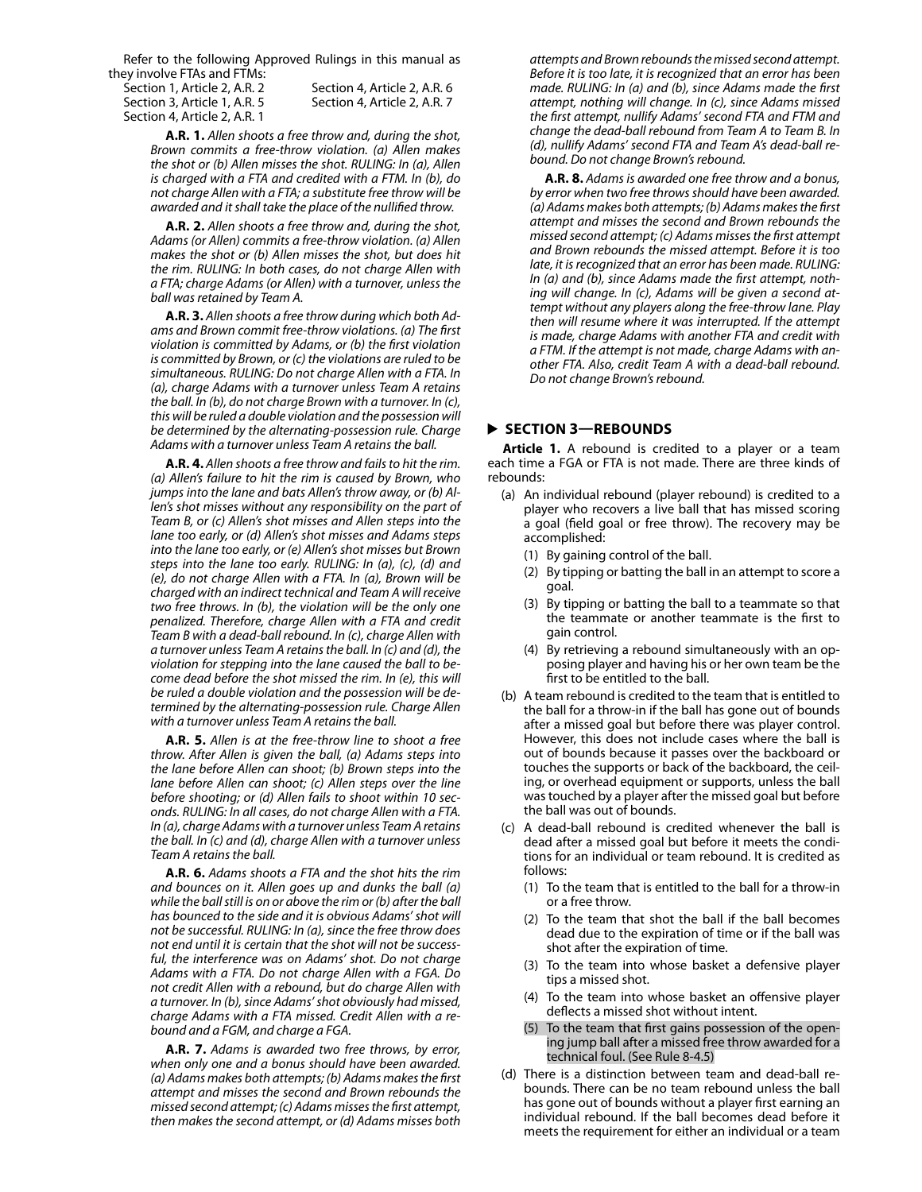Refer to the following Approved Rulings in this manual as they involve FTAs and FTMs:

Section 4, Article 2, A.R. 1

Section 1, Article 2, A.R. 2 Section 4, Article 2, A.R. 6 Section 3, Article 1, A.R. 5 Section 4, Article 2, A.R. 7

**A.R. 1.** *Allen shoots a free throw and, during the shot, Brown commits a free-throw violation. (a) Allen makes the shot or (b) Allen misses the shot. RULING: In (a), Allen is charged with a FTA and credited with a FTM. In (b), do not charge Allen with a FTA; a substitute free throw will be awarded and it shall take the place of the nullified throw.*

**A.R. 2.** *Allen shoots a free throw and, during the shot, Adams (or Allen) commits a free-throw violation. (a) Allen makes the shot or (b) Allen misses the shot, but does hit the rim. RULING: In both cases, do not charge Allen with a FTA; charge Adams (or Allen) with a turnover, unless the ball was retained by Team A.*

**A.R. 3.** *Allen shoots a free throw during which both Adams and Brown commit free-throw violations. (a) The first violation is committed by Adams, or (b) the first violation is committed by Brown, or (c) the violations are ruled to be simultaneous. RULING: Do not charge Allen with a FTA. In (a), charge Adams with a turnover unless Team A retains the ball. In (b), do not charge Brown with a turnover. In (c), this will be ruled a double violation and the possession will be determined by the alternating-possession rule. Charge Adams with a turnover unless Team A retains the ball.*

**A.R. 4.** *Allen shoots a free throw and fails to hit the rim. (a) Allen's failure to hit the rim is caused by Brown, who jumps into the lane and bats Allen's throw away, or (b) Allen's shot misses without any responsibility on the part of Team B, or (c) Allen's shot misses and Allen steps into the lane too early, or (d) Allen's shot misses and Adams steps into the lane too early, or (e) Allen's shot misses but Brown steps into the lane too early. RULING: In (a), (c), (d) and (e), do not charge Allen with a FTA. In (a), Brown will be charged with an indirect technical and Team A will receive two free throws. In (b), the violation will be the only one penalized. Therefore, charge Allen with a FTA and credit Team B with a dead-ball rebound. In (c), charge Allen with a turnover unless Team A retains the ball. In (c) and (d), the violation for stepping into the lane caused the ball to become dead before the shot missed the rim. In (e), this will be ruled a double violation and the possession will be determined by the alternating-possession rule. Charge Allen with a turnover unless Team A retains the ball.*

**A.R. 5.** *Allen is at the free-throw line to shoot a free throw. After Allen is given the ball, (a) Adams steps into the lane before Allen can shoot; (b) Brown steps into the lane before Allen can shoot; (c) Allen steps over the line before shooting; or (d) Allen fails to shoot within 10 seconds. RULING: In all cases, do not charge Allen with a FTA. In (a), charge Adams with a turnover unless Team A retains the ball. In (c) and (d), charge Allen with a turnover unless Team A retains the ball.*

**A.R. 6.** *Adams shoots a FTA and the shot hits the rim and bounces on it. Allen goes up and dunks the ball (a) while the ball still is on or above the rim or (b) after the ball has bounced to the side and it is obvious Adams' shot will not be successful. RULING: In (a), since the free throw does not end until it is certain that the shot will not be successful, the interference was on Adams' shot. Do not charge Adams with a FTA. Do not charge Allen with a FGA. Do not credit Allen with a rebound, but do charge Allen with a turnover. In (b), since Adams' shot obviously had missed, charge Adams with a FTA missed. Credit Allen with a rebound and a FGM, and charge a FGA.*

**A.R. 7.** *Adams is awarded two free throws, by error, when only one and a bonus should have been awarded. (a) Adams makes both attempts; (b) Adams makes the first attempt and misses the second and Brown rebounds the missed second attempt; (c) Adams misses the first attempt, then makes the second attempt, or (d) Adams misses both* 

*attempts and Brown rebounds the missed second attempt. Before it is too late, it is recognized that an error has been made. RULING: In (a) and (b), since Adams made the first attempt, nothing will change. In (c), since Adams missed the first attempt, nullify Adams' second FTA and FTM and change the dead-ball rebound from Team A to Team B. In (d), nullify Adams' second FTA and Team A's dead-ball rebound. Do not change Brown's rebound.*

**A.R. 8.** *Adams is awarded one free throw and a bonus, by error when two free throws should have been awarded. (a) Adams makes both attempts; (b) Adams makes the first attempt and misses the second and Brown rebounds the missed second attempt; (c) Adams misses the first attempt and Brown rebounds the missed attempt. Before it is too late, it is recognized that an error has been made. RULING: In (a) and (b), since Adams made the first attempt, nothing will change. In (c), Adams will be given a second attempt without any players along the free-throw lane. Play then will resume where it was interrupted. If the attempt is made, charge Adams with another FTA and credit with a FTM. If the attempt is not made, charge Adams with another FTA. Also, credit Team A with a dead-ball rebound. Do not change Brown's rebound.*

#### **SECTION 3—REBOUNDS**

**Article 1.** A rebound is credited to a player or a team each time a FGA or FTA is not made. There are three kinds of rebounds:

- (a) An individual rebound (player rebound) is credited to a player who recovers a live ball that has missed scoring a goal (field goal or free throw). The recovery may be accomplished:
	- (1) By gaining control of the ball.
	- (2) By tipping or batting the ball in an attempt to score a goal.
	- (3) By tipping or batting the ball to a teammate so that the teammate or another teammate is the first to gain control.
	- (4) By retrieving a rebound simultaneously with an opposing player and having his or her own team be the first to be entitled to the ball.
- (b) A team rebound is credited to the team that is entitled to the ball for a throw-in if the ball has gone out of bounds after a missed goal but before there was player control. However, this does not include cases where the ball is out of bounds because it passes over the backboard or touches the supports or back of the backboard, the ceiling, or overhead equipment or supports, unless the ball was touched by a player after the missed goal but before the ball was out of bounds.
- (c) A dead-ball rebound is credited whenever the ball is dead after a missed goal but before it meets the conditions for an individual or team rebound. It is credited as follows:
	- (1) To the team that is entitled to the ball for a throw-in or a free throw.
	- (2) To the team that shot the ball if the ball becomes dead due to the expiration of time or if the ball was shot after the expiration of time.
	- (3) To the team into whose basket a defensive player tips a missed shot.
	- (4) To the team into whose basket an offensive player deflects a missed shot without intent.
	- (5) To the team that first gains possession of the opening jump ball after a missed free throw awarded for a technical foul. (See Rule 8-4.5)
- (d) There is a distinction between team and dead-ball rebounds. There can be no team rebound unless the ball has gone out of bounds without a player first earning an individual rebound. If the ball becomes dead before it meets the requirement for either an individual or a team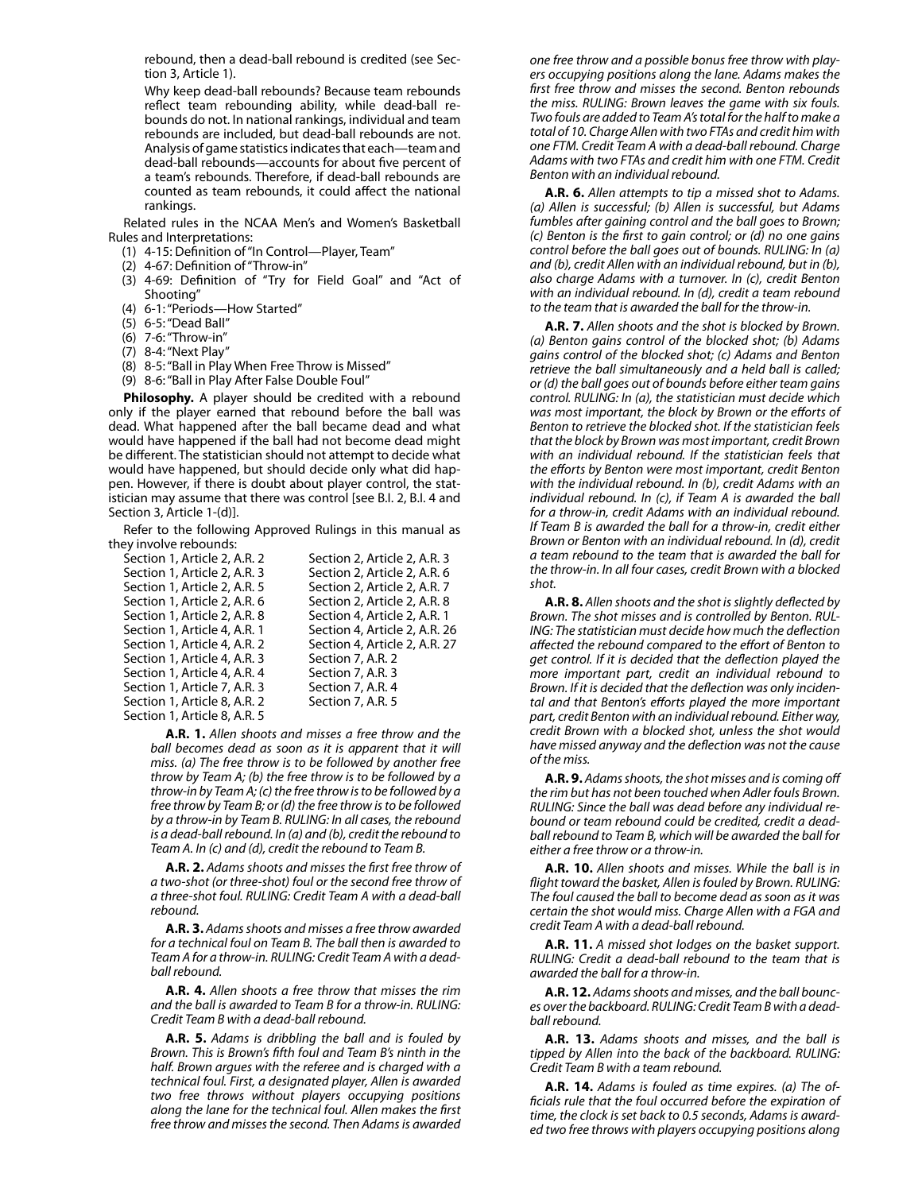rebound, then a dead-ball rebound is credited (see Section 3, Article 1).

Why keep dead-ball rebounds? Because team rebounds reflect team rebounding ability, while dead-ball rebounds do not. In national rankings, individual and team rebounds are included, but dead-ball rebounds are not. Analysis of game statistics indicates that each—team and dead-ball rebounds—accounts for about five percent of a team's rebounds. Therefore, if dead-ball rebounds are counted as team rebounds, it could affect the national rankings.

Related rules in the NCAA Men's and Women's Basketball Rules and Interpretations:

- (1) 4-15: Definition of "In Control—Player, Team"
- (2) 4-67: Definition of "Throw-in"
- (3) 4-69: Definition of "Try for Field Goal" and "Act of Shooting"
- (4) 6-1: "Periods—How Started"
- (5) 6-5: "Dead Ball"
- (6) 7-6: "Throw-in"
- (7) 8-4: "Next Play"
- (8) 8-5: "Ball in Play When Free Throw is Missed"
- (9) 8-6: "Ball in Play After False Double Foul"

**Philosophy.** A player should be credited with a rebound only if the player earned that rebound before the ball was dead. What happened after the ball became dead and what would have happened if the ball had not become dead might be different. The statistician should not attempt to decide what would have happened, but should decide only what did happen. However, if there is doubt about player control, the statistician may assume that there was control [see B.I. 2, B.I. 4 and Section 3, Article 1-(d)].

Refer to the following Approved Rulings in this manual as they involve rebounds:

| Section 2. Article 2. A.R. 3  |
|-------------------------------|
| Section 2, Article 2, A.R. 6  |
| Section 2. Article 2. A.R. 7  |
| Section 2. Article 2. A.R. 8  |
| Section 4, Article 2, A.R. 1  |
| Section 4, Article 2, A.R. 26 |
| Section 4, Article 2, A.R. 27 |
| Section 7, A.R. 2             |
| Section 7, A.R. 3             |
| Section 7, A.R. 4             |
| Section 7, A.R. 5             |
|                               |
|                               |

**A.R. 1.** *Allen shoots and misses a free throw and the ball becomes dead as soon as it is apparent that it will miss. (a) The free throw is to be followed by another free throw by Team A; (b) the free throw is to be followed by a throw-in by Team A; (c) the free throw is to be followed by a free throw by Team B; or (d) the free throw is to be followed by a throw-in by Team B. RULING: In all cases, the rebound is a dead-ball rebound. In (a) and (b), credit the rebound to Team A. In (c) and (d), credit the rebound to Team B.*

**A.R. 2.** *Adams shoots and misses the first free throw of a two-shot (or three-shot) foul or the second free throw of a three-shot foul. RULING: Credit Team A with a dead-ball rebound.*

**A.R. 3.** *Adams shoots and misses a free throw awarded for a technical foul on Team B. The ball then is awarded to Team A for a throw-in. RULING: Credit Team A with a deadball rebound.*

**A.R. 4.** *Allen shoots a free throw that misses the rim and the ball is awarded to Team B for a throw-in. RULING: Credit Team B with a dead-ball rebound.*

**A.R. 5.** *Adams is dribbling the ball and is fouled by Brown. This is Brown's fifth foul and Team B's ninth in the half. Brown argues with the referee and is charged with a technical foul. First, a designated player, Allen is awarded two free throws without players occupying positions along the lane for the technical foul. Allen makes the first free throw and misses the second. Then Adams is awarded* 

*one free throw and a possible bonus free throw with players occupying positions along the lane. Adams makes the first free throw and misses the second. Benton rebounds the miss. RULING: Brown leaves the game with six fouls. Two fouls are added to Team A's total for the half to make a total of 10. Charge Allen with two FTAs and credit him with one FTM. Credit Team A with a dead-ball rebound. Charge Adams with two FTAs and credit him with one FTM. Credit Benton with an individual rebound.*

**A.R. 6.** *Allen attempts to tip a missed shot to Adams. (a) Allen is successful; (b) Allen is successful, but Adams fumbles after gaining control and the ball goes to Brown; (c) Benton is the first to gain control; or (d) no one gains control before the ball goes out of bounds. RULING: In (a) and (b), credit Allen with an individual rebound, but in (b), also charge Adams with a turnover. In (c), credit Benton with an individual rebound. In (d), credit a team rebound to the team that is awarded the ball for the throw-in.*

**A.R. 7.** *Allen shoots and the shot is blocked by Brown. (a) Benton gains control of the blocked shot; (b) Adams gains control of the blocked shot; (c) Adams and Benton retrieve the ball simultaneously and a held ball is called; or (d) the ball goes out of bounds before either team gains control. RULING: In (a), the statistician must decide which was most important, the block by Brown or the efforts of Benton to retrieve the blocked shot. If the statistician feels that the block by Brown was most important, credit Brown with an individual rebound. If the statistician feels that the efforts by Benton were most important, credit Benton with the individual rebound. In (b), credit Adams with an individual rebound. In (c), if Team A is awarded the ball for a throw-in, credit Adams with an individual rebound. If Team B is awarded the ball for a throw-in, credit either Brown or Benton with an individual rebound. In (d), credit a team rebound to the team that is awarded the ball for the throw-in. In all four cases, credit Brown with a blocked shot.*

**A.R. 8.** *Allen shoots and the shot is slightly deflected by Brown. The shot misses and is controlled by Benton. RUL-ING: The statistician must decide how much the deflection affected the rebound compared to the effort of Benton to get control. If it is decided that the deflection played the more important part, credit an individual rebound to Brown. If it is decided that the deflection was only incidental and that Benton's efforts played the more important part, credit Benton with an individual rebound. Either way, credit Brown with a blocked shot, unless the shot would have missed anyway and the deflection was not the cause of the miss.*

**A.R. 9.** *Adams shoots, the shot misses and is coming off the rim but has not been touched when Adler fouls Brown. RULING: Since the ball was dead before any individual rebound or team rebound could be credited, credit a deadball rebound to Team B, which will be awarded the ball for either a free throw or a throw-in.*

**A.R. 10.** *Allen shoots and misses. While the ball is in flight toward the basket, Allen is fouled by Brown. RULING: The foul caused the ball to become dead as soon as it was certain the shot would miss. Charge Allen with a FGA and credit Team A with a dead-ball rebound.*

**A.R. 11.** *A missed shot lodges on the basket support. RULING: Credit a dead-ball rebound to the team that is awarded the ball for a throw-in.*

**A.R. 12.** *Adams shoots and misses, and the ball bounces over the backboard. RULING: Credit Team B with a deadball rebound.*

**A.R. 13.** *Adams shoots and misses, and the ball is tipped by Allen into the back of the backboard. RULING: Credit Team B with a team rebound.*

**A.R. 14.** *Adams is fouled as time expires. (a) The officials rule that the foul occurred before the expiration of time, the clock is set back to 0.5 seconds, Adams is awarded two free throws with players occupying positions along*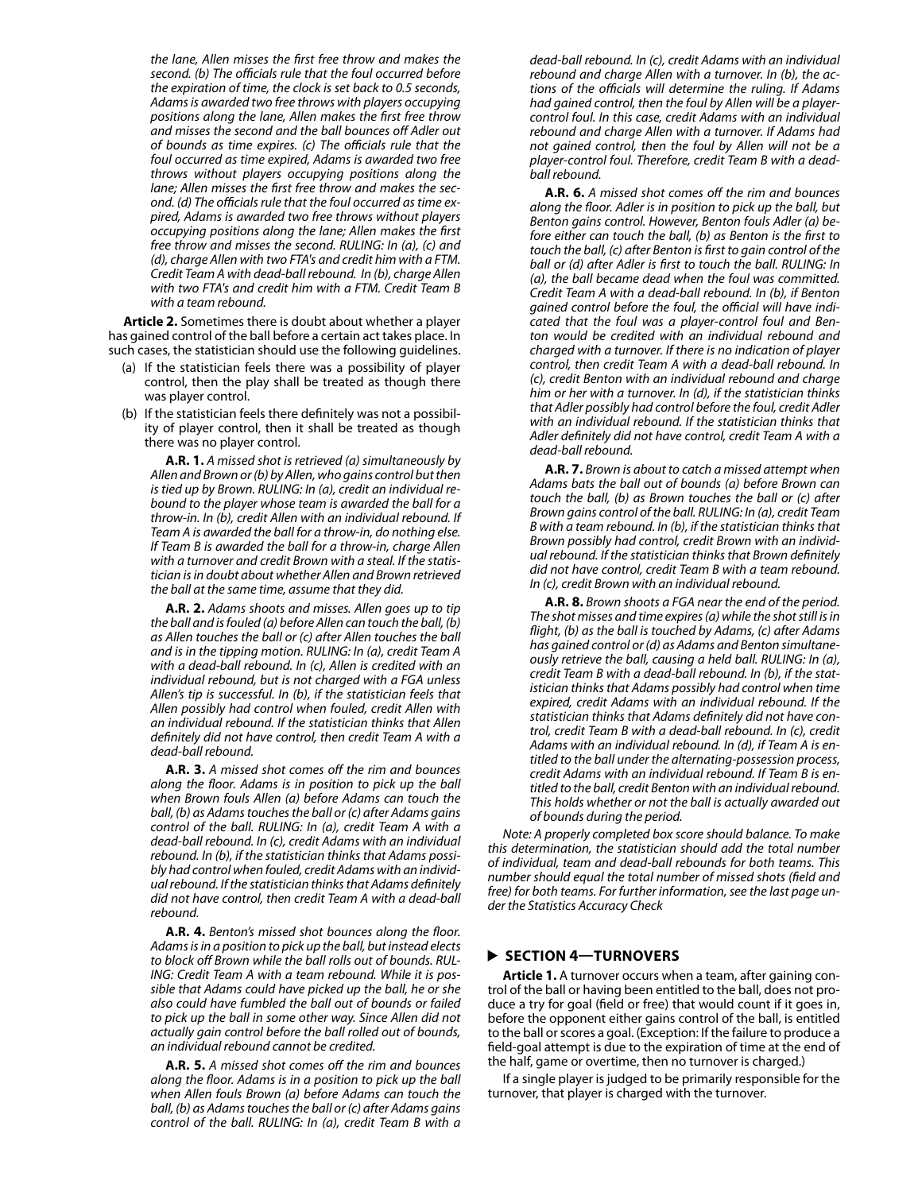*the lane, Allen misses the first free throw and makes the second. (b) The officials rule that the foul occurred before the expiration of time, the clock is set back to 0.5 seconds, Adams is awarded two free throws with players occupying positions along the lane, Allen makes the first free throw and misses the second and the ball bounces off Adler out of bounds as time expires. (c) The officials rule that the foul occurred as time expired, Adams is awarded two free throws without players occupying positions along the lane; Allen misses the first free throw and makes the second. (d) The officials rule that the foul occurred as time expired, Adams is awarded two free throws without players occupying positions along the lane; Allen makes the first free throw and misses the second. RULING: In (a), (c) and (d), charge Allen with two FTA's and credit him with a FTM. Credit Team A with dead-ball rebound. In (b), charge Allen with two FTA's and credit him with a FTM. Credit Team B with a team rebound.*

**Article 2.** Sometimes there is doubt about whether a player has gained control of the ball before a certain act takes place. In such cases, the statistician should use the following guidelines.

- (a) If the statistician feels there was a possibility of player control, then the play shall be treated as though there was player control.
- (b) If the statistician feels there definitely was not a possibility of player control, then it shall be treated as though there was no player control.

**A.R. 1.** *A missed shot is retrieved (a) simultaneously by Allen and Brown or (b) by Allen, who gains control but then is tied up by Brown. RULING: In (a), credit an individual rebound to the player whose team is awarded the ball for a throw-in. In (b), credit Allen with an individual rebound. If Team A is awarded the ball for a throw-in, do nothing else. If Team B is awarded the ball for a throw-in, charge Allen with a turnover and credit Brown with a steal. If the statistician is in doubt about whether Allen and Brown retrieved the ball at the same time, assume that they did.*

**A.R. 2.** *Adams shoots and misses. Allen goes up to tip the ball and is fouled (a) before Allen can touch the ball, (b) as Allen touches the ball or (c) after Allen touches the ball and is in the tipping motion. RULING: In (a), credit Team A with a dead-ball rebound. In (c), Allen is credited with an individual rebound, but is not charged with a FGA unless Allen's tip is successful. In (b), if the statistician feels that Allen possibly had control when fouled, credit Allen with an individual rebound. If the statistician thinks that Allen definitely did not have control, then credit Team A with a dead-ball rebound.*

**A.R. 3.** *A missed shot comes off the rim and bounces along the floor. Adams is in position to pick up the ball when Brown fouls Allen (a) before Adams can touch the ball, (b) as Adams touches the ball or (c) after Adams gains control of the ball. RULING: In (a), credit Team A with a dead-ball rebound. In (c), credit Adams with an individual rebound. In (b), if the statistician thinks that Adams possibly had control when fouled, credit Adams with an individual rebound. If the statistician thinks that Adams definitely did not have control, then credit Team A with a dead-ball rebound.*

**A.R. 4.** *Benton's missed shot bounces along the floor. Adams is in a position to pick up the ball, but instead elects to block off Brown while the ball rolls out of bounds. RUL-ING: Credit Team A with a team rebound. While it is possible that Adams could have picked up the ball, he or she also could have fumbled the ball out of bounds or failed to pick up the ball in some other way. Since Allen did not actually gain control before the ball rolled out of bounds, an individual rebound cannot be credited.*

**A.R. 5.** *A missed shot comes off the rim and bounces along the floor. Adams is in a position to pick up the ball when Allen fouls Brown (a) before Adams can touch the ball, (b) as Adams touches the ball or (c) after Adams gains control of the ball. RULING: In (a), credit Team B with a*  *dead-ball rebound. In (c), credit Adams with an individual rebound and charge Allen with a turnover. In (b), the actions of the officials will determine the ruling. If Adams had gained control, then the foul by Allen will be a playercontrol foul. In this case, credit Adams with an individual rebound and charge Allen with a turnover. If Adams had not gained control, then the foul by Allen will not be a player-control foul. Therefore, credit Team B with a deadball rebound.*

**A.R. 6.** *A missed shot comes off the rim and bounces along the floor. Adler is in position to pick up the ball, but Benton gains control. However, Benton fouls Adler (a) before either can touch the ball, (b) as Benton is the first to touch the ball, (c) after Benton is first to gain control of the ball or (d) after Adler is first to touch the ball. RULING: In (a), the ball became dead when the foul was committed. Credit Team A with a dead-ball rebound. In (b), if Benton gained control before the foul, the official will have indicated that the foul was a player-control foul and Benton would be credited with an individual rebound and charged with a turnover. If there is no indication of player control, then credit Team A with a dead-ball rebound. In (c), credit Benton with an individual rebound and charge him or her with a turnover. In (d), if the statistician thinks that Adler possibly had control before the foul, credit Adler with an individual rebound. If the statistician thinks that Adler definitely did not have control, credit Team A with a dead-ball rebound.*

**A.R. 7.** *Brown is about to catch a missed attempt when Adams bats the ball out of bounds (a) before Brown can touch the ball, (b) as Brown touches the ball or (c) after Brown gains control of the ball. RULING: In (a), credit Team B with a team rebound. In (b), if the statistician thinks that Brown possibly had control, credit Brown with an individual rebound. If the statistician thinks that Brown definitely did not have control, credit Team B with a team rebound. In (c), credit Brown with an individual rebound.*

**A.R. 8.** *Brown shoots a FGA near the end of the period. The shot misses and time expires (a) while the shot still is in flight, (b) as the ball is touched by Adams, (c) after Adams has gained control or (d) as Adams and Benton simultaneously retrieve the ball, causing a held ball. RULING: In (a), credit Team B with a dead-ball rebound. In (b), if the statistician thinks that Adams possibly had control when time expired, credit Adams with an individual rebound. If the statistician thinks that Adams definitely did not have control, credit Team B with a dead-ball rebound. In (c), credit Adams with an individual rebound. In (d), if Team A is entitled to the ball under the alternating-possession process, credit Adams with an individual rebound. If Team B is entitled to the ball, credit Benton with an individual rebound. This holds whether or not the ball is actually awarded out of bounds during the period.*

*Note: A properly completed box score should balance. To make this determination, the statistician should add the total number of individual, team and dead-ball rebounds for both teams. This number should equal the total number of missed shots (field and free) for both teams. For further information, see the last page under the Statistics Accuracy Check*

## **SECTION 4—TURNOVERS**

**Article 1.** A turnover occurs when a team, after gaining control of the ball or having been entitled to the ball, does not produce a try for goal (field or free) that would count if it goes in, before the opponent either gains control of the ball, is entitled to the ball or scores a goal. (Exception: If the failure to produce a field-goal attempt is due to the expiration of time at the end of the half, game or overtime, then no turnover is charged.)

If a single player is judged to be primarily responsible for the turnover, that player is charged with the turnover.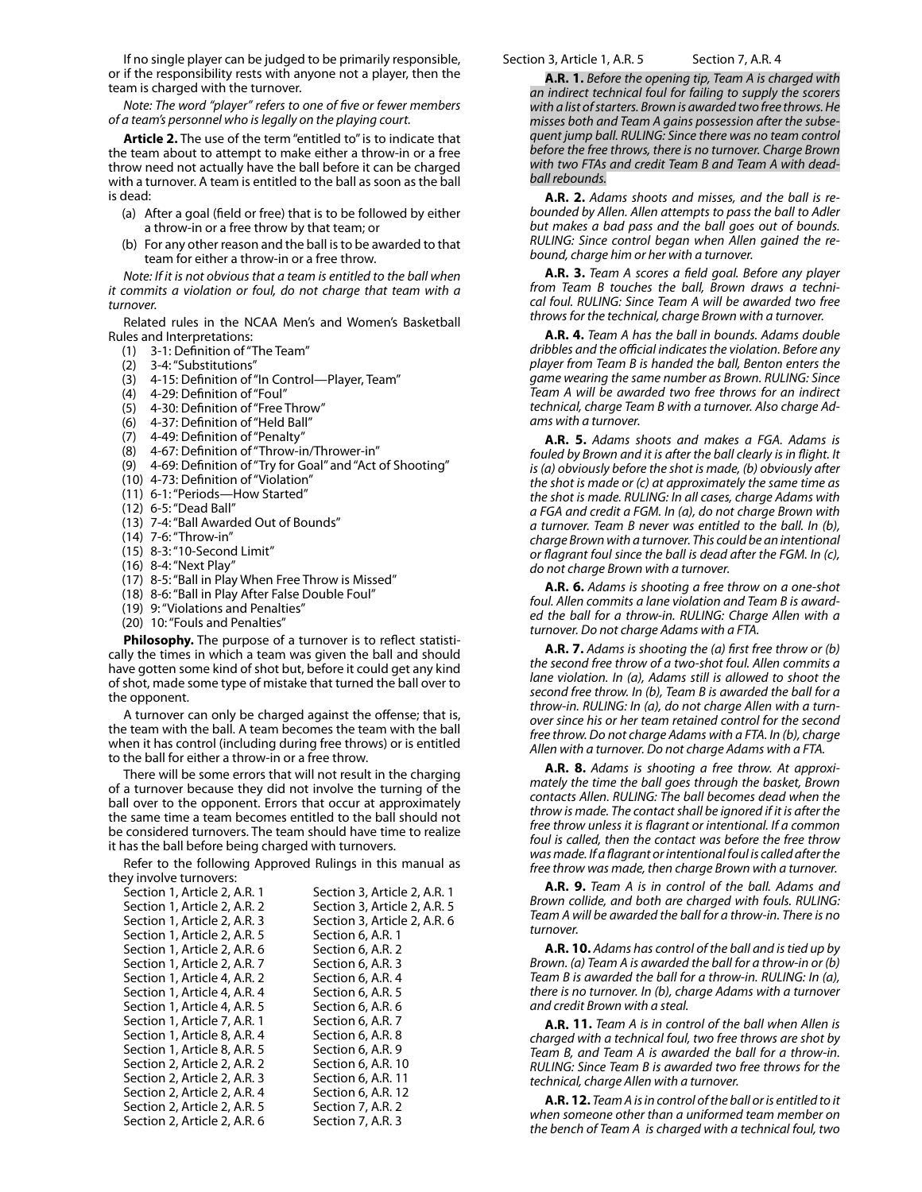If no single player can be judged to be primarily responsible, or if the responsibility rests with anyone not a player, then the team is charged with the turnover.

*Note: The word "player" refers to one of five or fewer members of a team's personnel who is legally on the playing court.*

**Article 2.** The use of the term "entitled to" is to indicate that the team about to attempt to make either a throw-in or a free throw need not actually have the ball before it can be charged with a turnover. A team is entitled to the ball as soon as the ball is dead:

- (a) After a goal (field or free) that is to be followed by either a throw-in or a free throw by that team; or
- (b) For any other reason and the ball is to be awarded to that team for either a throw-in or a free throw.

*Note: If it is not obvious that a team is entitled to the ball when it commits a violation or foul, do not charge that team with a turnover.*

Related rules in the NCAA Men's and Women's Basketball Rules and Interpretations:

- (1) 3-1: Definition of "The Team"
- (2) 3-4: "Substitutions"
- (3) 4-15: Definition of "In Control—Player, Team"
- (4) 4-29: Definition of "Foul"
- (5) 4-30: Definition of "Free Throw"
- (6) 4-37: Definition of "Held Ball"
- (7) 4-49: Definition of "Penalty"
- (8) 4-67: Definition of "Throw-in/Thrower-in"
- (9) 4-69: Definition of "Try for Goal" and "Act of Shooting"
- (10) 4-73: Definition of "Violation"
- (11) 6-1: "Periods—How Started"
- (12) 6-5: "Dead Ball"
- (13) 7-4: "Ball Awarded Out of Bounds"
- (14) 7-6: "Throw-in"
- (15) 8-3: "10-Second Limit"
- (16) 8-4: "Next Play"
- (17) 8-5: "Ball in Play When Free Throw is Missed"
- (18) 8-6: "Ball in Play After False Double Foul"
- (19) 9: "Violations and Penalties"
- (20) 10: "Fouls and Penalties"

**Philosophy.** The purpose of a turnover is to reflect statistically the times in which a team was given the ball and should have gotten some kind of shot but, before it could get any kind of shot, made some type of mistake that turned the ball over to the opponent.

A turnover can only be charged against the offense; that is, the team with the ball. A team becomes the team with the ball when it has control (including during free throws) or is entitled to the ball for either a throw-in or a free throw.

There will be some errors that will not result in the charging of a turnover because they did not involve the turning of the ball over to the opponent. Errors that occur at approximately the same time a team becomes entitled to the ball should not be considered turnovers. The team should have time to realize it has the ball before being charged with turnovers.

Refer to the following Approved Rulings in this manual as they involve turnovers:

| Section 3, Article 2, A.R. 1 |
|------------------------------|
| Section 3, Article 2, A.R. 5 |
| Section 3, Article 2, A.R. 6 |
| Section 6, A.R. 1            |
| Section 6, A.R. 2            |
| Section 6, A.R. 3            |
| Section 6, A.R. 4            |
| Section 6, A.R. 5            |
| Section 6, A.R. 6            |
| Section 6, A.R. 7            |
| Section 6, A.R. 8            |
| Section 6, A.R. 9            |
| Section 6, A.R. 10           |
| Section 6, A.R. 11           |
| Section 6, A.R. 12           |
| Section 7, A.R. 2            |
| Section 7, A.R. 3            |
|                              |

#### Section 3, Article 1, A.R. 5 Section 7, A.R. 4

**A.R. 1.** *Before the opening tip, Team A is charged with an indirect technical foul for failing to supply the scorers with a list of starters. Brown is awarded two free throws. He misses both and Team A gains possession after the subsequent jump ball. RULING: Since there was no team control before the free throws, there is no turnover. Charge Brown with two FTAs and credit Team B and Team A with deadball rebounds.*

**A.R. 2.** *Adams shoots and misses, and the ball is rebounded by Allen. Allen attempts to pass the ball to Adler but makes a bad pass and the ball goes out of bounds. RULING: Since control began when Allen gained the rebound, charge him or her with a turnover.*

**A.R. 3.** *Team A scores a field goal. Before any player from Team B touches the ball, Brown draws a technical foul. RULING: Since Team A will be awarded two free throws for the technical, charge Brown with a turnover.*

**A.R. 4.** *Team A has the ball in bounds. Adams double dribbles and the official indicates the violation. Before any player from Team B is handed the ball, Benton enters the game wearing the same number as Brown. RULING: Since Team A will be awarded two free throws for an indirect technical, charge Team B with a turnover. Also charge Adams with a turnover.*

**A.R. 5.** *Adams shoots and makes a FGA. Adams is fouled by Brown and it is after the ball clearly is in flight. It is (a) obviously before the shot is made, (b) obviously after the shot is made or (c) at approximately the same time as the shot is made. RULING: In all cases, charge Adams with a FGA and credit a FGM. In (a), do not charge Brown with a turnover. Team B never was entitled to the ball. In (b), charge Brown with a turnover. This could be an intentional or flagrant foul since the ball is dead after the FGM. In (c), do not charge Brown with a turnover.*

**A.R. 6.** *Adams is shooting a free throw on a one-shot foul. Allen commits a lane violation and Team B is awarded the ball for a throw-in. RULING: Charge Allen with a turnover. Do not charge Adams with a FTA.*

**A.R. 7.** *Adams is shooting the (a) first free throw or (b) the second free throw of a two-shot foul. Allen commits a lane violation. In (a), Adams still is allowed to shoot the second free throw. In (b), Team B is awarded the ball for a throw-in. RULING: In (a), do not charge Allen with a turnover since his or her team retained control for the second free throw. Do not charge Adams with a FTA. In (b), charge Allen with a turnover. Do not charge Adams with a FTA.*

**A.R. 8.** *Adams is shooting a free throw. At approximately the time the ball goes through the basket, Brown contacts Allen. RULING: The ball becomes dead when the throw is made. The contact shall be ignored if it is after the free throw unless it is flagrant or intentional. If a common foul is called, then the contact was before the free throw was made. If a flagrant or intentional foul is called after the free throw was made, then charge Brown with a turnover.*

**A.R. 9.** *Team A is in control of the ball. Adams and Brown collide, and both are charged with fouls. RULING: Team A will be awarded the ball for a throw-in. There is no turnover.*

**A.R. 10.** *Adams has control of the ball and is tied up by Brown. (a) Team A is awarded the ball for a throw-in or (b) Team B is awarded the ball for a throw-in. RULING: In (a), there is no turnover. In (b), charge Adams with a turnover and credit Brown with a steal.*

**A.R. 11.** *Team A is in control of the ball when Allen is charged with a technical foul, two free throws are shot by Team B, and Team A is awarded the ball for a throw-in. RULING: Since Team B is awarded two free throws for the technical, charge Allen with a turnover.*

**A.R. 12.** *Team A is in control of the ball or is entitled to it when someone other than a uniformed team member on the bench of Team A is charged with a technical foul, two*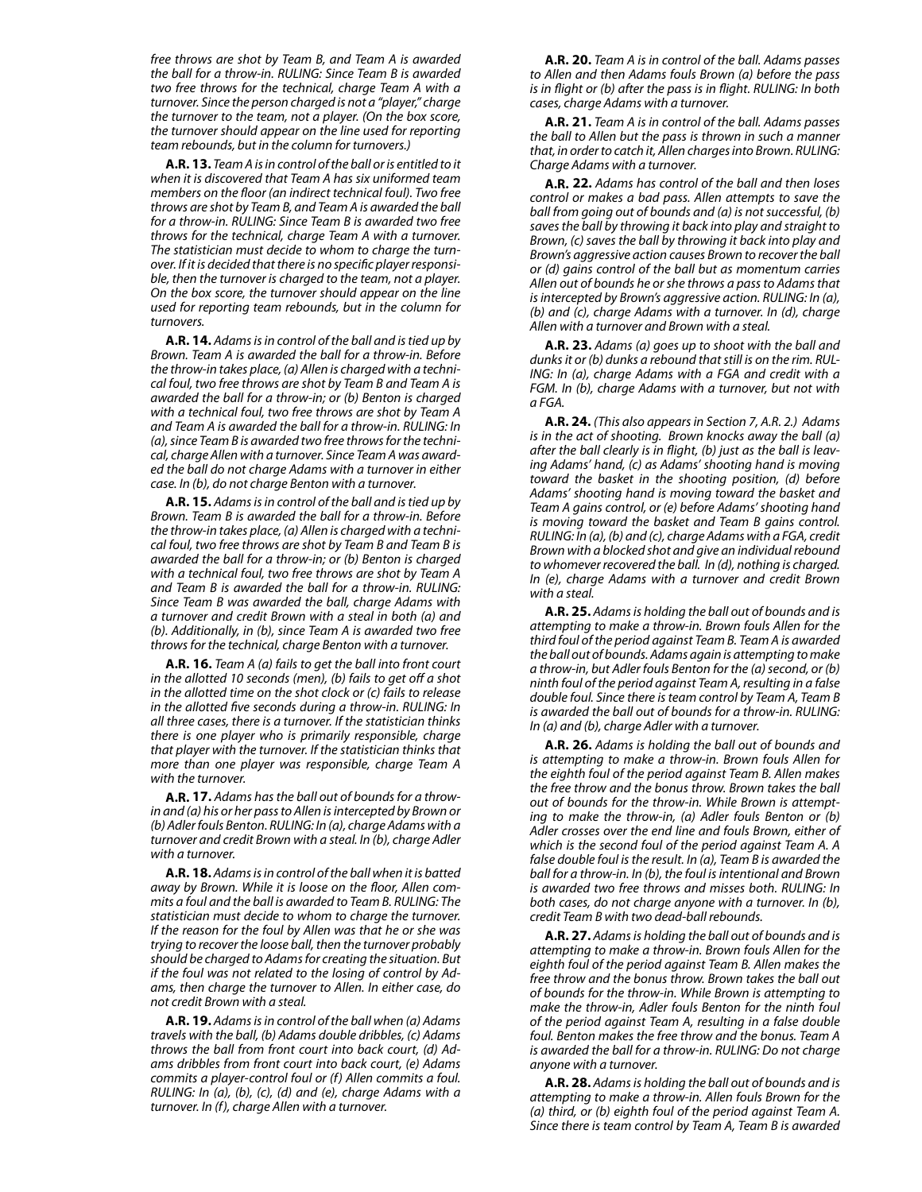*free throws are shot by Team B, and Team A is awarded the ball for a throw-in. RULING: Since Team B is awarded two free throws for the technical, charge Team A with a turnover. Since the person charged is not a "player," charge the turnover to the team, not a player. (On the box score, the turnover should appear on the line used for reporting team rebounds, but in the column for turnovers.)*

**A.R. 13.** *Team A is in control of the ball or is entitled to it when it is discovered that Team A has six uniformed team members on the floor (an indirect technical foul). Two free throws are shot by Team B, and Team A is awarded the ball for a throw-in. RULING: Since Team B is awarded two free throws for the technical, charge Team A with a turnover. The statistician must decide to whom to charge the turnover. If it is decided that there is no specific player responsible, then the turnover is charged to the team, not a player. On the box score, the turnover should appear on the line used for reporting team rebounds, but in the column for turnovers.*

**A.R. 14.** *Adams is in control of the ball and is tied up by Brown. Team A is awarded the ball for a throw-in. Before the throw-in takes place, (a) Allen is charged with a technical foul, two free throws are shot by Team B and Team A is awarded the ball for a throw-in; or (b) Benton is charged with a technical foul, two free throws are shot by Team A and Team A is awarded the ball for a throw-in. RULING: In (a), since Team B is awarded two free throws for the technical, charge Allen with a turnover. Since Team A was awarded the ball do not charge Adams with a turnover in either case. In (b), do not charge Benton with a turnover.*

**A.R. 15.** *Adams is in control of the ball and is tied up by Brown. Team B is awarded the ball for a throw-in. Before the throw-in takes place, (a) Allen is charged with a technical foul, two free throws are shot by Team B and Team B is awarded the ball for a throw-in; or (b) Benton is charged with a technical foul, two free throws are shot by Team A and Team B is awarded the ball for a throw-in. RULING: Since Team B was awarded the ball, charge Adams with a turnover and credit Brown with a steal in both (a) and (b). Additionally, in (b), since Team A is awarded two free throws for the technical, charge Benton with a turnover.*

**A.R. 16.** *Team A (a) fails to get the ball into front court in the allotted 10 seconds (men), (b) fails to get off a shot in the allotted time on the shot clock or (c) fails to release in the allotted five seconds during a throw-in. RULING: In all three cases, there is a turnover. If the statistician thinks there is one player who is primarily responsible, charge that player with the turnover. If the statistician thinks that more than one player was responsible, charge Team A with the turnover.*

**A.R. 17.** *Adams has the ball out of bounds for a throwin and (a) his or her pass to Allen is intercepted by Brown or (b) Adler fouls Benton. RULING: In (a), charge Adams with a turnover and credit Brown with a steal. In (b), charge Adler with a turnover.*

**A.R. 18.** *Adams is in control of the ball when it is batted away by Brown. While it is loose on the floor, Allen commits a foul and the ball is awarded to Team B. RULING: The statistician must decide to whom to charge the turnover. If the reason for the foul by Allen was that he or she was trying to recover the loose ball, then the turnover probably should be charged to Adams for creating the situation. But if the foul was not related to the losing of control by Adams, then charge the turnover to Allen. In either case, do not credit Brown with a steal.*

**A.R. 19.** *Adams is in control of the ball when (a) Adams travels with the ball, (b) Adams double dribbles, (c) Adams throws the ball from front court into back court, (d) Adams dribbles from front court into back court, (e) Adams commits a player-control foul or (f) Allen commits a foul. RULING: In (a), (b), (c), (d) and (e), charge Adams with a turnover. In (f), charge Allen with a turnover.*

**A.R. 20.** *Team A is in control of the ball. Adams passes to Allen and then Adams fouls Brown (a) before the pass is in flight or (b) after the pass is in flight. RULING: In both cases, charge Adams with a turnover.*

**A.R. 21.** *Team A is in control of the ball. Adams passes the ball to Allen but the pass is thrown in such a manner that, in order to catch it, Allen charges into Brown. RULING: Charge Adams with a turnover.*

**A.R. 22.** *Adams has control of the ball and then loses control or makes a bad pass. Allen attempts to save the ball from going out of bounds and (a) is not successful, (b) saves the ball by throwing it back into play and straight to Brown, (c) saves the ball by throwing it back into play and Brown's aggressive action causes Brown to recover the ball or (d) gains control of the ball but as momentum carries Allen out of bounds he or she throws a pass to Adams that is intercepted by Brown's aggressive action. RULING: In (a), (b) and (c), charge Adams with a turnover. In (d), charge Allen with a turnover and Brown with a steal.*

**A.R. 23.** *Adams (a) goes up to shoot with the ball and dunks it or (b) dunks a rebound that still is on the rim. RUL-ING: In (a), charge Adams with a FGA and credit with a FGM. In (b), charge Adams with a turnover, but not with a FGA.*

**A.R. 24.** *(This also appears in Section 7, A.R. 2.) Adams is in the act of shooting. Brown knocks away the ball (a) after the ball clearly is in flight, (b) just as the ball is leaving Adams' hand, (c) as Adams' shooting hand is moving toward the basket in the shooting position, (d) before Adams' shooting hand is moving toward the basket and Team A gains control, or (e) before Adams' shooting hand is moving toward the basket and Team B gains control. RULING: In (a), (b) and (c), charge Adams with a FGA, credit Brown with a blocked shot and give an individual rebound to whomever recovered the ball. In (d), nothing is charged. In (e), charge Adams with a turnover and credit Brown with a steal.*

**A.R. 25.** *Adams is holding the ball out of bounds and is attempting to make a throw-in. Brown fouls Allen for the third foul of the period against Team B. Team A is awarded the ball out of bounds. Adams again is attempting to make a throw-in, but Adler fouls Benton for the (a) second, or (b) ninth foul of the period against Team A, resulting in a false double foul. Since there is team control by Team A, Team B is awarded the ball out of bounds for a throw-in. RULING: In (a) and (b), charge Adler with a turnover.*

**A.R. 26.** *Adams is holding the ball out of bounds and is attempting to make a throw-in. Brown fouls Allen for the eighth foul of the period against Team B. Allen makes the free throw and the bonus throw. Brown takes the ball out of bounds for the throw-in. While Brown is attempting to make the throw-in, (a) Adler fouls Benton or (b) Adler crosses over the end line and fouls Brown, either of which is the second foul of the period against Team A. A false double foul is the result. In (a), Team B is awarded the ball for a throw-in. In (b), the foul is intentional and Brown is awarded two free throws and misses both. RULING: In both cases, do not charge anyone with a turnover. In (b), credit Team B with two dead-ball rebounds.*

**A.R. 27.** *Adams is holding the ball out of bounds and is attempting to make a throw-in. Brown fouls Allen for the eighth foul of the period against Team B. Allen makes the free throw and the bonus throw. Brown takes the ball out of bounds for the throw-in. While Brown is attempting to make the throw-in, Adler fouls Benton for the ninth foul of the period against Team A, resulting in a false double foul. Benton makes the free throw and the bonus. Team A is awarded the ball for a throw-in. RULING: Do not charge anyone with a turnover.*

**A.R. 28.** *Adams is holding the ball out of bounds and is attempting to make a throw-in. Allen fouls Brown for the (a) third, or (b) eighth foul of the period against Team A. Since there is team control by Team A, Team B is awarded*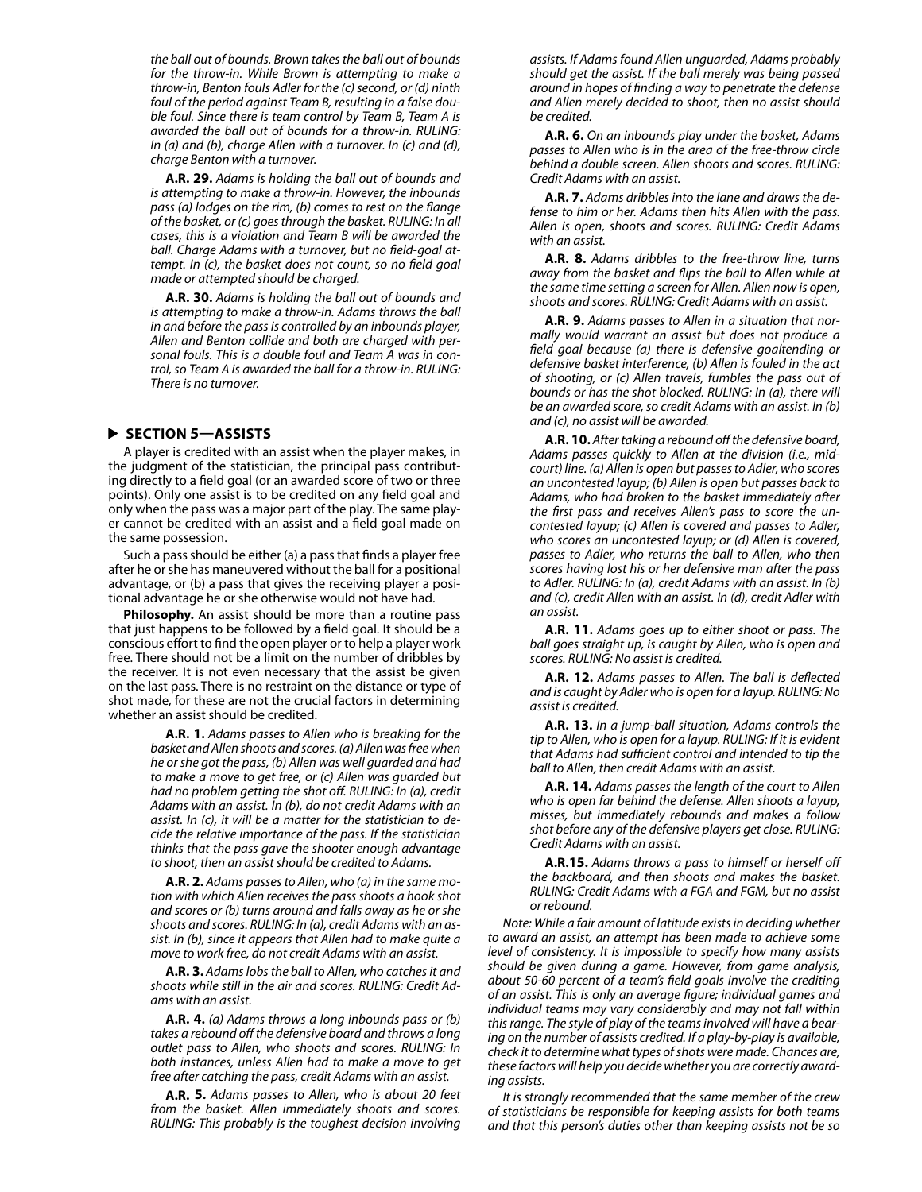*the ball out of bounds. Brown takes the ball out of bounds for the throw-in. While Brown is attempting to make a throw-in, Benton fouls Adler for the (c) second, or (d) ninth foul of the period against Team B, resulting in a false double foul. Since there is team control by Team B, Team A is awarded the ball out of bounds for a throw-in. RULING: In (a) and (b), charge Allen with a turnover. In (c) and (d), charge Benton with a turnover.*

**A.R. 29.** *Adams is holding the ball out of bounds and is attempting to make a throw-in. However, the inbounds pass (a) lodges on the rim, (b) comes to rest on the flange of the basket, or (c) goes through the basket. RULING: In all cases, this is a violation and Team B will be awarded the ball. Charge Adams with a turnover, but no field-goal attempt. In (c), the basket does not count, so no field goal made or attempted should be charged.*

**A.R. 30.** *Adams is holding the ball out of bounds and is attempting to make a throw-in. Adams throws the ball in and before the pass is controlled by an inbounds player, Allen and Benton collide and both are charged with personal fouls. This is a double foul and Team A was in control, so Team A is awarded the ball for a throw-in. RULING: There is no turnover.*

### **SECTION 5—ASSISTS**

A player is credited with an assist when the player makes, in the judgment of the statistician, the principal pass contributing directly to a field goal (or an awarded score of two or three points). Only one assist is to be credited on any field goal and only when the pass was a major part of the play. The same player cannot be credited with an assist and a field goal made on the same possession.

Such a pass should be either (a) a pass that finds a player free after he or she has maneuvered without the ball for a positional advantage, or (b) a pass that gives the receiving player a positional advantage he or she otherwise would not have had.

**Philosophy.** An assist should be more than a routine pass that just happens to be followed by a field goal. It should be a conscious effort to find the open player or to help a player work free. There should not be a limit on the number of dribbles by the receiver. It is not even necessary that the assist be given on the last pass. There is no restraint on the distance or type of shot made, for these are not the crucial factors in determining whether an assist should be credited.

> **A.R. 1.** *Adams passes to Allen who is breaking for the basket and Allen shoots and scores. (a) Allen was free when he or she got the pass, (b) Allen was well guarded and had to make a move to get free, or (c) Allen was guarded but had no problem getting the shot off. RULING: In (a), credit Adams with an assist. In (b), do not credit Adams with an assist. In (c), it will be a matter for the statistician to decide the relative importance of the pass. If the statistician thinks that the pass gave the shooter enough advantage to shoot, then an assist should be credited to Adams.*

> **A.R. 2.** *Adams passes to Allen, who (a) in the same motion with which Allen receives the pass shoots a hook shot and scores or (b) turns around and falls away as he or she shoots and scores. RULING: In (a), credit Adams with an assist. In (b), since it appears that Allen had to make quite a move to work free, do not credit Adams with an assist.*

> **A.R. 3.** *Adams lobs the ball to Allen, who catches it and shoots while still in the air and scores. RULING: Credit Adams with an assist.*

> **A.R. 4.** *(a) Adams throws a long inbounds pass or (b) takes a rebound off the defensive board and throws a long outlet pass to Allen, who shoots and scores. RULING: In both instances, unless Allen had to make a move to get free after catching the pass, credit Adams with an assist.*

> **A.R. 5.** *Adams passes to Allen, who is about 20 feet from the basket. Allen immediately shoots and scores. RULING: This probably is the toughest decision involving*

*assists. If Adams found Allen unguarded, Adams probably should get the assist. If the ball merely was being passed around in hopes of finding a way to penetrate the defense and Allen merely decided to shoot, then no assist should be credited.*

**A.R. 6.** *On an inbounds play under the basket, Adams passes to Allen who is in the area of the free-throw circle behind a double screen. Allen shoots and scores. RULING: Credit Adams with an assist.*

**A.R. 7.** *Adams dribbles into the lane and draws the defense to him or her. Adams then hits Allen with the pass. Allen is open, shoots and scores. RULING: Credit Adams with an assist.*

**A.R. 8.** *Adams dribbles to the free-throw line, turns away from the basket and flips the ball to Allen while at the same time setting a screen for Allen. Allen now is open, shoots and scores. RULING: Credit Adams with an assist.*

**A.R. 9.** *Adams passes to Allen in a situation that normally would warrant an assist but does not produce a field goal because (a) there is defensive goaltending or defensive basket interference, (b) Allen is fouled in the act of shooting, or (c) Allen travels, fumbles the pass out of bounds or has the shot blocked. RULING: In (a), there will be an awarded score, so credit Adams with an assist. In (b) and (c), no assist will be awarded.*

**A.R. 10.** *After taking a rebound off the defensive board, Adams passes quickly to Allen at the division (i.e., midcourt) line. (a) Allen is open but passes to Adler, who scores an uncontested layup; (b) Allen is open but passes back to Adams, who had broken to the basket immediately after the first pass and receives Allen's pass to score the uncontested layup; (c) Allen is covered and passes to Adler, who scores an uncontested layup; or (d) Allen is covered, passes to Adler, who returns the ball to Allen, who then scores having lost his or her defensive man after the pass to Adler. RULING: In (a), credit Adams with an assist. In (b) and (c), credit Allen with an assist. In (d), credit Adler with an assist.*

**A.R. 11.** *Adams goes up to either shoot or pass. The ball goes straight up, is caught by Allen, who is open and scores. RULING: No assist is credited.*

**A.R. 12.** *Adams passes to Allen. The ball is deflected and is caught by Adler who is open for a layup. RULING: No assist is credited.*

**A.R. 13.** *In a jump-ball situation, Adams controls the tip to Allen, who is open for a layup. RULING: If it is evident that Adams had sufficient control and intended to tip the ball to Allen, then credit Adams with an assist.*

**A.R. 14.** *Adams passes the length of the court to Allen who is open far behind the defense. Allen shoots a layup, misses, but immediately rebounds and makes a follow shot before any of the defensive players get close. RULING: Credit Adams with an assist.*

**A.R.15.** *Adams throws a pass to himself or herself off the backboard, and then shoots and makes the basket. RULING: Credit Adams with a FGA and FGM, but no assist or rebound.*

*Note: While a fair amount of latitude exists in deciding whether to award an assist, an attempt has been made to achieve some level of consistency. It is impossible to specify how many assists should be given during a game. However, from game analysis, about 50-60 percent of a team's field goals involve the crediting of an assist. This is only an average figure; individual games and individual teams may vary considerably and may not fall within this range. The style of play of the teams involved will have a bearing on the number of assists credited. If a play-by-play is available, check it to determine what types of shots were made. Chances are, these factors will help you decide whether you are correctly awarding assists.*

*It is strongly recommended that the same member of the crew of statisticians be responsible for keeping assists for both teams and that this person's duties other than keeping assists not be so*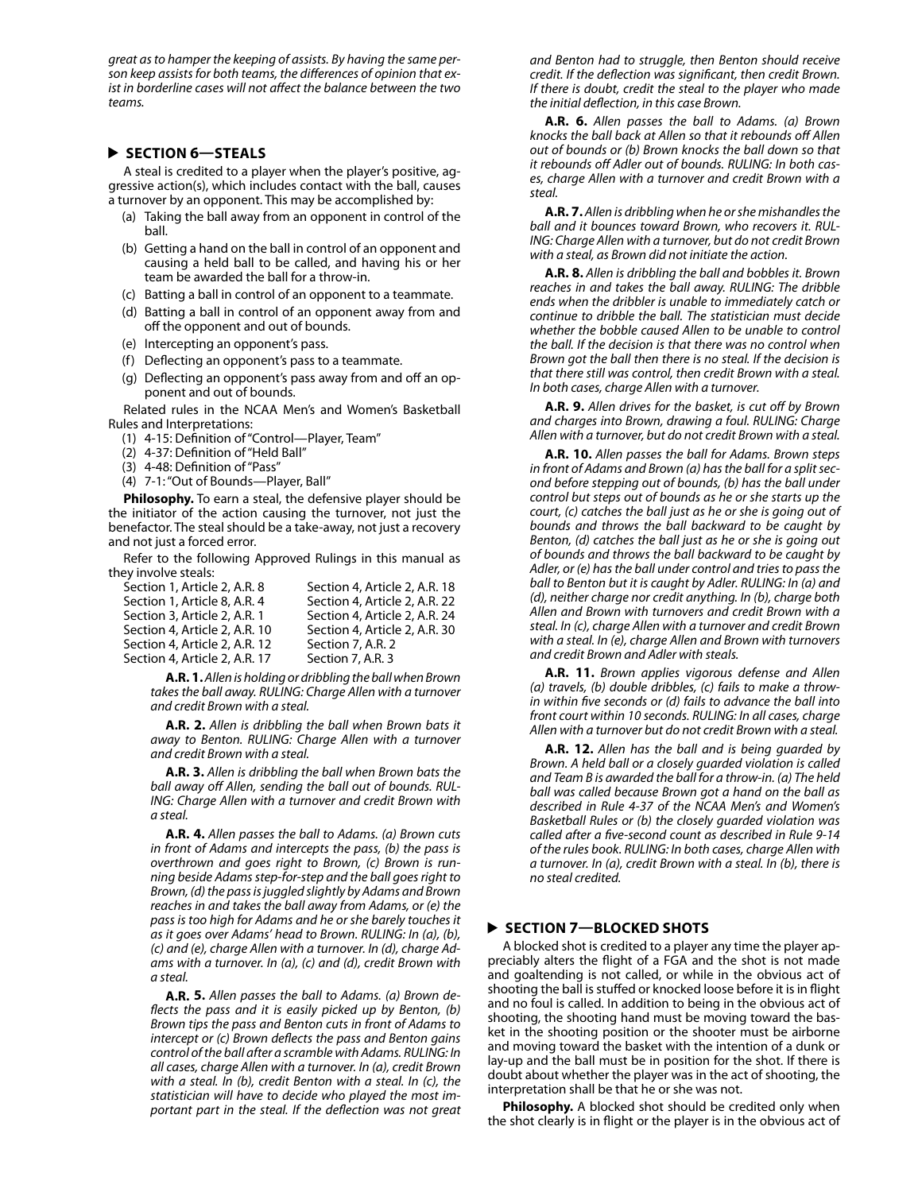*great as to hamper the keeping of assists. By having the same person keep assists for both teams, the differences of opinion that exist in borderline cases will not affect the balance between the two teams.*

### **SECTION 6—STEALS**

A steal is credited to a player when the player's positive, aggressive action(s), which includes contact with the ball, causes a turnover by an opponent. This may be accomplished by:

- (a) Taking the ball away from an opponent in control of the ball.
- (b) Getting a hand on the ball in control of an opponent and causing a held ball to be called, and having his or her team be awarded the ball for a throw-in.
- (c) Batting a ball in control of an opponent to a teammate.
- (d) Batting a ball in control of an opponent away from and off the opponent and out of bounds.
- (e) Intercepting an opponent's pass.
- (f) Deflecting an opponent's pass to a teammate.
- (g) Deflecting an opponent's pass away from and off an opponent and out of bounds.

Related rules in the NCAA Men's and Women's Basketball Rules and Interpretations:

- (1) 4-15: Definition of "Control—Player, Team"
- (2) 4-37: Definition of "Held Ball"
- (3) 4-48: Definition of "Pass"
- (4) 7-1: "Out of Bounds—Player, Ball"

**Philosophy.** To earn a steal, the defensive player should be the initiator of the action causing the turnover, not just the benefactor. The steal should be a take-away, not just a recovery and not just a forced error.

Refer to the following Approved Rulings in this manual as they involve steals:

| Section 1, Article 2, A.R. 8  | Section 4, Article 2, A.R. 18 |
|-------------------------------|-------------------------------|
| Section 1, Article 8, A.R. 4  | Section 4, Article 2, A.R. 22 |
| Section 3, Article 2, A.R. 1  | Section 4, Article 2, A.R. 24 |
| Section 4, Article 2, A.R. 10 | Section 4, Article 2, A.R. 30 |
| Section 4, Article 2, A.R. 12 | Section 7, A.R. 2             |
| Section 4, Article 2, A.R. 17 | Section 7, A.R. 3             |

**A.R. 1.** *Allen is holding or dribbling the ball when Brown takes the ball away. RULING: Charge Allen with a turnover and credit Brown with a steal.*

**A.R. 2.** *Allen is dribbling the ball when Brown bats it away to Benton. RULING: Charge Allen with a turnover and credit Brown with a steal.*

**A.R. 3.** *Allen is dribbling the ball when Brown bats the ball away off Allen, sending the ball out of bounds. RUL-ING: Charge Allen with a turnover and credit Brown with a steal.*

**A.R. 4.** *Allen passes the ball to Adams. (a) Brown cuts in front of Adams and intercepts the pass, (b) the pass is overthrown and goes right to Brown, (c) Brown is running beside Adams step-for-step and the ball goes right to Brown, (d) the pass is juggled slightly by Adams and Brown reaches in and takes the ball away from Adams, or (e) the pass is too high for Adams and he or she barely touches it as it goes over Adams' head to Brown. RULING: In (a), (b), (c) and (e), charge Allen with a turnover. In (d), charge Adams with a turnover. In (a), (c) and (d), credit Brown with a steal.*

**A.R. 5.** *Allen passes the ball to Adams. (a) Brown deflects the pass and it is easily picked up by Benton, (b) Brown tips the pass and Benton cuts in front of Adams to intercept or (c) Brown deflects the pass and Benton gains control of the ball after a scramble with Adams. RULING: In all cases, charge Allen with a turnover. In (a), credit Brown with a steal. In (b), credit Benton with a steal. In (c), the statistician will have to decide who played the most important part in the steal. If the deflection was not great*  *and Benton had to struggle, then Benton should receive credit. If the deflection was significant, then credit Brown. If there is doubt, credit the steal to the player who made the initial deflection, in this case Brown.*

**A.R. 6.** *Allen passes the ball to Adams. (a) Brown knocks the ball back at Allen so that it rebounds off Allen out of bounds or (b) Brown knocks the ball down so that it rebounds off Adler out of bounds. RULING: In both cases, charge Allen with a turnover and credit Brown with a steal.*

**A.R. 7.** *Allen is dribbling when he or she mishandles the ball and it bounces toward Brown, who recovers it. RUL-ING: Charge Allen with a turnover, but do not credit Brown with a steal, as Brown did not initiate the action.*

**A.R. 8.** *Allen is dribbling the ball and bobbles it. Brown reaches in and takes the ball away. RULING: The dribble ends when the dribbler is unable to immediately catch or continue to dribble the ball. The statistician must decide whether the bobble caused Allen to be unable to control the ball. If the decision is that there was no control when Brown got the ball then there is no steal. If the decision is that there still was control, then credit Brown with a steal. In both cases, charge Allen with a turnover.*

**A.R. 9.** *Allen drives for the basket, is cut off by Brown and charges into Brown, drawing a foul. RULING: Charge Allen with a turnover, but do not credit Brown with a steal.*

**A.R. 10.** *Allen passes the ball for Adams. Brown steps in front of Adams and Brown (a) has the ball for a split second before stepping out of bounds, (b) has the ball under control but steps out of bounds as he or she starts up the court, (c) catches the ball just as he or she is going out of bounds and throws the ball backward to be caught by Benton, (d) catches the ball just as he or she is going out of bounds and throws the ball backward to be caught by Adler, or (e) has the ball under control and tries to pass the ball to Benton but it is caught by Adler. RULING: In (a) and (d), neither charge nor credit anything. In (b), charge both Allen and Brown with turnovers and credit Brown with a steal. In (c), charge Allen with a turnover and credit Brown with a steal. In (e), charge Allen and Brown with turnovers and credit Brown and Adler with steals.*

**A.R. 11.** *Brown applies vigorous defense and Allen (a) travels, (b) double dribbles, (c) fails to make a throwin within five seconds or (d) fails to advance the ball into front court within 10 seconds. RULING: In all cases, charge Allen with a turnover but do not credit Brown with a steal.*

**A.R. 12.** *Allen has the ball and is being guarded by Brown. A held ball or a closely guarded violation is called and Team B is awarded the ball for a throw-in. (a) The held ball was called because Brown got a hand on the ball as described in Rule 4-37 of the NCAA Men's and Women's Basketball Rules or (b) the closely guarded violation was called after a five-second count as described in Rule 9-14 of the rules book. RULING: In both cases, charge Allen with a turnover. In (a), credit Brown with a steal. In (b), there is no steal credited.*

### **SECTION 7—BLOCKED SHOTS**

A blocked shot is credited to a player any time the player appreciably alters the flight of a FGA and the shot is not made and goaltending is not called, or while in the obvious act of shooting the ball is stuffed or knocked loose before it is in flight and no foul is called. In addition to being in the obvious act of shooting, the shooting hand must be moving toward the basket in the shooting position or the shooter must be airborne and moving toward the basket with the intention of a dunk or lay-up and the ball must be in position for the shot. If there is doubt about whether the player was in the act of shooting, the interpretation shall be that he or she was not.

**Philosophy.** A blocked shot should be credited only when the shot clearly is in flight or the player is in the obvious act of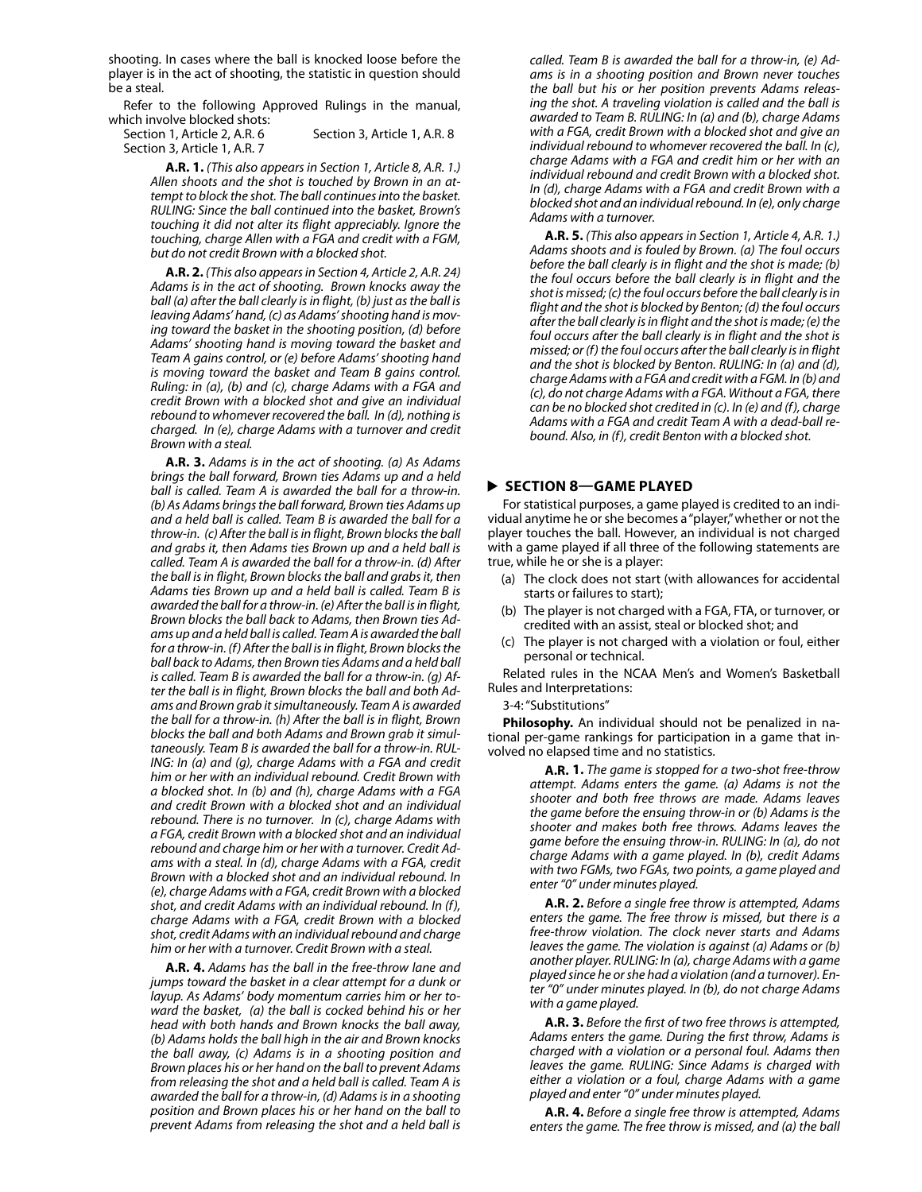shooting. In cases where the ball is knocked loose before the player is in the act of shooting, the statistic in question should be a steal.

Refer to the following Approved Rulings in the manual, which involve blocked shots:

Section 1, Article 2, A.R. 6 Section 3, Article 1, A.R. 8 Section 3, Article 1, A.R. 7

**A.R. 1.** *(This also appears in Section 1, Article 8, A.R. 1.) Allen shoots and the shot is touched by Brown in an attempt to block the shot. The ball continues into the basket. RULING: Since the ball continued into the basket, Brown's touching it did not alter its flight appreciably. Ignore the touching, charge Allen with a FGA and credit with a FGM, but do not credit Brown with a blocked shot.*

**A.R. 2.** *(This also appears in Section 4, Article 2, A.R. 24) Adams is in the act of shooting. Brown knocks away the ball (a) after the ball clearly is in flight, (b) just as the ball is leaving Adams' hand, (c) as Adams' shooting hand is moving toward the basket in the shooting position, (d) before Adams' shooting hand is moving toward the basket and Team A gains control, or (e) before Adams' shooting hand is moving toward the basket and Team B gains control. Ruling: in (a), (b) and (c), charge Adams with a FGA and credit Brown with a blocked shot and give an individual rebound to whomever recovered the ball. In (d), nothing is charged. In (e), charge Adams with a turnover and credit Brown with a steal.*

**A.R. 3.** *Adams is in the act of shooting. (a) As Adams brings the ball forward, Brown ties Adams up and a held ball is called. Team A is awarded the ball for a throw-in. (b) As Adams brings the ball forward, Brown ties Adams up and a held ball is called. Team B is awarded the ball for a throw-in. (c) After the ball is in flight, Brown blocks the ball and grabs it, then Adams ties Brown up and a held ball is called. Team A is awarded the ball for a throw-in. (d) After the ball is in flight, Brown blocks the ball and grabs it, then Adams ties Brown up and a held ball is called. Team B is awarded the ball for a throw-in. (e) After the ball is in flight, Brown blocks the ball back to Adams, then Brown ties Adams up and a held ball is called. Team A is awarded the ball for a throw-in. (f) After the ball is in flight, Brown blocks the ball back to Adams, then Brown ties Adams and a held ball is called. Team B is awarded the ball for a throw-in. (g) After the ball is in flight, Brown blocks the ball and both Adams and Brown grab it simultaneously. Team A is awarded the ball for a throw-in. (h) After the ball is in flight, Brown blocks the ball and both Adams and Brown grab it simultaneously. Team B is awarded the ball for a throw-in. RUL-ING: In (a) and (g), charge Adams with a FGA and credit him or her with an individual rebound. Credit Brown with a blocked shot. In (b) and (h), charge Adams with a FGA and credit Brown with a blocked shot and an individual rebound. There is no turnover. In (c), charge Adams with a FGA, credit Brown with a blocked shot and an individual rebound and charge him or her with a turnover. Credit Adams with a steal. In (d), charge Adams with a FGA, credit Brown with a blocked shot and an individual rebound. In (e), charge Adams with a FGA, credit Brown with a blocked shot, and credit Adams with an individual rebound. In (f), charge Adams with a FGA, credit Brown with a blocked shot, credit Adams with an individual rebound and charge him or her with a turnover. Credit Brown with a steal.* 

**A.R. 4.** *Adams has the ball in the free-throw lane and jumps toward the basket in a clear attempt for a dunk or layup. As Adams' body momentum carries him or her toward the basket, (a) the ball is cocked behind his or her head with both hands and Brown knocks the ball away, (b) Adams holds the ball high in the air and Brown knocks the ball away, (c) Adams is in a shooting position and Brown places his or her hand on the ball to prevent Adams from releasing the shot and a held ball is called. Team A is awarded the ball for a throw-in, (d) Adams is in a shooting position and Brown places his or her hand on the ball to prevent Adams from releasing the shot and a held ball is*  *called. Team B is awarded the ball for a throw-in, (e) Adams is in a shooting position and Brown never touches the ball but his or her position prevents Adams releasing the shot. A traveling violation is called and the ball is awarded to Team B. RULING: In (a) and (b), charge Adams with a FGA, credit Brown with a blocked shot and give an individual rebound to whomever recovered the ball. In (c), charge Adams with a FGA and credit him or her with an individual rebound and credit Brown with a blocked shot. In (d), charge Adams with a FGA and credit Brown with a blocked shot and an individual rebound. In (e), only charge Adams with a turnover.*

**A.R. 5.** *(This also appears in Section 1, Article 4, A.R. 1.) Adams shoots and is fouled by Brown. (a) The foul occurs before the ball clearly is in flight and the shot is made; (b) the foul occurs before the ball clearly is in flight and the shot is missed; (c) the foul occurs before the ball clearly is in flight and the shot is blocked by Benton; (d) the foul occurs after the ball clearly is in flight and the shot is made; (e) the foul occurs after the ball clearly is in flight and the shot is missed; or (f) the foul occurs after the ball clearly is in flight and the shot is blocked by Benton. RULING: In (a) and (d), charge Adams with a FGA and credit with a FGM. In (b) and (c), do not charge Adams with a FGA. Without a FGA, there can be no blocked shot credited in (c). In (e) and (f), charge Adams with a FGA and credit Team A with a dead-ball rebound. Also, in (f), credit Benton with a blocked shot.*

### **SECTION 8—GAME PLAYED**

For statistical purposes, a game played is credited to an individual anytime he or she becomes a "player," whether or not the player touches the ball. However, an individual is not charged with a game played if all three of the following statements are true, while he or she is a player:

- (a) The clock does not start (with allowances for accidental starts or failures to start);
- (b) The player is not charged with a FGA, FTA, or turnover, or credited with an assist, steal or blocked shot; and
- (c) The player is not charged with a violation or foul, either personal or technical.

Related rules in the NCAA Men's and Women's Basketball Rules and Interpretations:

#### 3-4: "Substitutions"

**Philosophy.** An individual should not be penalized in national per-game rankings for participation in a game that involved no elapsed time and no statistics.

> **A.R. 1.** *The game is stopped for a two-shot free-throw attempt. Adams enters the game. (a) Adams is not the shooter and both free throws are made. Adams leaves the game before the ensuing throw-in or (b) Adams is the shooter and makes both free throws. Adams leaves the game before the ensuing throw-in. RULING: In (a), do not charge Adams with a game played. In (b), credit Adams with two FGMs, two FGAs, two points, a game played and enter "0" under minutes played.*

> **A.R. 2.** *Before a single free throw is attempted, Adams enters the game. The free throw is missed, but there is a free-throw violation. The clock never starts and Adams leaves the game. The violation is against (a) Adams or (b) another player. RULING: In (a), charge Adams with a game played since he or she had a violation (and a turnover). Enter "0" under minutes played. In (b), do not charge Adams with a game played.*

> **A.R. 3.** *Before the first of two free throws is attempted, Adams enters the game. During the first throw, Adams is charged with a violation or a personal foul. Adams then leaves the game. RULING: Since Adams is charged with either a violation or a foul, charge Adams with a game played and enter "0" under minutes played.*

> **A.R. 4.** *Before a single free throw is attempted, Adams enters the game. The free throw is missed, and (a) the ball*